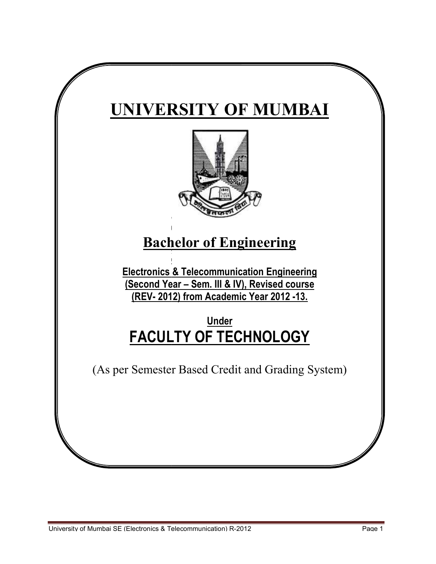# **UNIVERSITY OF MUMBAI**



# **Bachelor of Engineering**

**Electronics & Telecommunication Engineering (Second Year Telecommunication Second – Sem. III & IV), Revised course (REV- 2012) 12) from Academic Year 2012 -13.** 

# **FACULTY OF TECHNOLOGY FACULTY OF TECHNOLOGY OF Under**

(As per Semester Based Credit and Grading System) (As per Semester Based Credit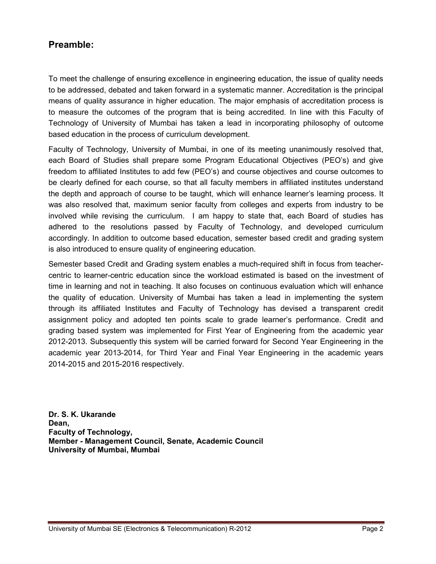# **Preamble:**

To meet the challenge of ensuring excellence in engineering education, the issue of quality needs to be addressed, debated and taken forward in a systematic manner. Accreditation is the principal means of quality assurance in higher education. The major emphasis of accreditation process is to measure the outcomes of the program that is being accredited. In line with this Faculty of Technology of University of Mumbai has taken a lead in incorporating philosophy of outcome based education in the process of curriculum development.

Faculty of Technology, University of Mumbai, in one of its meeting unanimously resolved that, each Board of Studies shall prepare some Program Educational Objectives (PEO's) and give freedom to affiliated Institutes to add few (PEO's) and course objectives and course outcomes to be clearly defined for each course, so that all faculty members in affiliated institutes understand the depth and approach of course to be taught, which will enhance learner's learning process. It was also resolved that, maximum senior faculty from colleges and experts from industry to be involved while revising the curriculum. I am happy to state that, each Board of studies has adhered to the resolutions passed by Faculty of Technology, and developed curriculum accordingly. In addition to outcome based education, semester based credit and grading system is also introduced to ensure quality of engineering education.

Semester based Credit and Grading system enables a much-required shift in focus from teachercentric to learner-centric education since the workload estimated is based on the investment of time in learning and not in teaching. It also focuses on continuous evaluation which will enhance the quality of education. University of Mumbai has taken a lead in implementing the system through its affiliated Institutes and Faculty of Technology has devised a transparent credit assignment policy and adopted ten points scale to grade learner's performance. Credit and grading based system was implemented for First Year of Engineering from the academic year 2012-2013. Subsequently this system will be carried forward for Second Year Engineering in the academic year 2013-2014, for Third Year and Final Year Engineering in the academic years 2014-2015 and 2015-2016 respectively.

**Dr. S. K. Ukarande Dean, Faculty of Technology, Member - Management Council, Senate, Academic Council University of Mumbai, Mumbai**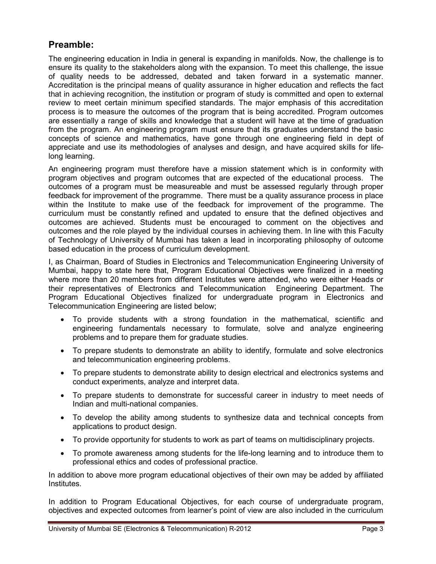# **Preamble:**

The engineering education in India in general is expanding in manifolds. Now, the challenge is to ensure its quality to the stakeholders along with the expansion. To meet this challenge, the issue of quality needs to be addressed, debated and taken forward in a systematic manner. Accreditation is the principal means of quality assurance in higher education and reflects the fact that in achieving recognition, the institution or program of study is committed and open to external review to meet certain minimum specified standards. The major emphasis of this accreditation process is to measure the outcomes of the program that is being accredited. Program outcomes are essentially a range of skills and knowledge that a student will have at the time of graduation from the program. An engineering program must ensure that its graduates understand the basic concepts of science and mathematics, have gone through one engineering field in dept of appreciate and use its methodologies of analyses and design, and have acquired skills for lifelong learning.

An engineering program must therefore have a mission statement which is in conformity with program objectives and program outcomes that are expected of the educational process. The outcomes of a program must be measureable and must be assessed regularly through proper feedback for improvement of the programme. There must be a quality assurance process in place within the Institute to make use of the feedback for improvement of the programme. The curriculum must be constantly refined and updated to ensure that the defined objectives and outcomes are achieved. Students must be encouraged to comment on the objectives and outcomes and the role played by the individual courses in achieving them. In line with this Faculty of Technology of University of Mumbai has taken a lead in incorporating philosophy of outcome based education in the process of curriculum development.

I, as Chairman, Board of Studies in Electronics and Telecommunication Engineering University of Mumbai, happy to state here that, Program Educational Objectives were finalized in a meeting where more than 20 members from different Institutes were attended, who were either Heads or their representatives of Electronics and Telecommunication Engineering Department. The Program Educational Objectives finalized for undergraduate program in Electronics and Telecommunication Engineering are listed below;

- To provide students with a strong foundation in the mathematical, scientific and engineering fundamentals necessary to formulate, solve and analyze engineering problems and to prepare them for graduate studies.
- To prepare students to demonstrate an ability to identify, formulate and solve electronics and telecommunication engineering problems.
- To prepare students to demonstrate ability to design electrical and electronics systems and conduct experiments, analyze and interpret data.
- To prepare students to demonstrate for successful career in industry to meet needs of Indian and multi-national companies.
- To develop the ability among students to synthesize data and technical concepts from applications to product design.
- To provide opportunity for students to work as part of teams on multidisciplinary projects.
- To promote awareness among students for the life-long learning and to introduce them to professional ethics and codes of professional practice.

In addition to above more program educational objectives of their own may be added by affiliated Institutes.

In addition to Program Educational Objectives, for each course of undergraduate program, objectives and expected outcomes from learner's point of view are also included in the curriculum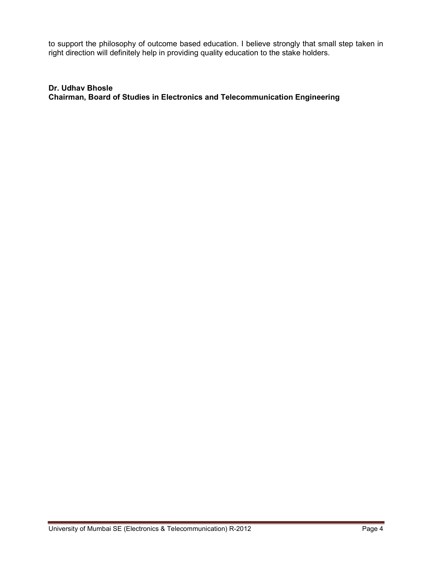to support the philosophy of outcome based education. I believe strongly that small step taken in right direction will definitely help in providing quality education to the stake holders.

**Dr. Udhav Bhosle Chairman, Board of Studies in Electronics and Telecommunication Engineering**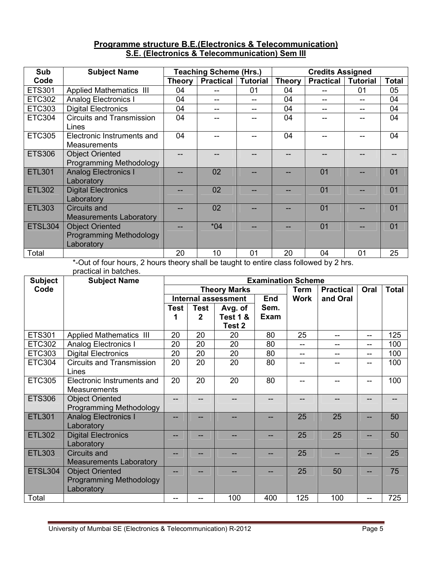# **Programme structure B.E.(Electronics & Telecommunication) S.E. (Electronics & Telecommunication) Sem III**

| Sub            | <b>Subject Name</b>              |               | <b>Teaching Scheme (Hrs.)</b> |                 |               | <b>Credits Assigned</b> |                 |              |
|----------------|----------------------------------|---------------|-------------------------------|-----------------|---------------|-------------------------|-----------------|--------------|
| Code           |                                  | <b>Theory</b> | <b>Practical</b>              | <b>Tutorial</b> | <b>Theory</b> | <b>Practical</b>        | <b>Tutorial</b> | <b>Total</b> |
| <b>ETS301</b>  | <b>Applied Mathematics III</b>   | 04            |                               | 01              | 04            |                         | 01              | 05           |
| <b>ETC302</b>  | <b>Analog Electronics I</b>      | 04            |                               |                 | 04            | --                      |                 | 04           |
| ETC303         | <b>Digital Electronics</b>       | 04            |                               |                 | 04            |                         |                 | 04           |
| <b>ETC304</b>  | <b>Circuits and Transmission</b> | 04            |                               |                 | 04            |                         |                 | 04           |
|                | Lines                            |               |                               |                 |               |                         |                 |              |
| <b>ETC305</b>  | Electronic Instruments and       | 04            |                               |                 | 04            |                         |                 | 04           |
|                | <b>Measurements</b>              |               |                               |                 |               |                         |                 |              |
| <b>ETS306</b>  | <b>Object Oriented</b>           |               |                               |                 |               |                         |                 |              |
|                | <b>Programming Methodology</b>   |               |                               |                 |               |                         |                 |              |
| <b>ETL301</b>  | <b>Analog Electronics I</b>      |               | 02                            |                 |               | 01                      |                 | 01           |
|                | Laboratory                       |               |                               |                 |               |                         |                 |              |
| <b>ETL302</b>  | <b>Digital Electronics</b>       |               | 02                            |                 |               | 01                      |                 | 01           |
|                | Laboratory                       |               |                               |                 |               |                         |                 |              |
| <b>ETL303</b>  | Circuits and                     |               | 02                            |                 |               | 01                      |                 | 01           |
|                | <b>Measurements Laboratory</b>   |               |                               |                 |               |                         |                 |              |
| <b>ETSL304</b> | <b>Object Oriented</b>           |               | $*04$                         |                 |               | 01                      |                 | 01           |
|                | Programming Methodology          |               |                               |                 |               |                         |                 |              |
|                | Laboratory                       |               |                               |                 |               |                         |                 |              |
| Total          |                                  | 20            | 10                            | 01              | 20            | 04                      | 01              | 25           |

\*-Out of four hours, 2 hours theory shall be taught to entire class followed by 2 hrs. practical in batches.

| <b>Subject</b> | practical in patches.<br><b>Subject Name</b> |      |              |                            | <b>Examination Scheme</b> |             |                  |                          |              |
|----------------|----------------------------------------------|------|--------------|----------------------------|---------------------------|-------------|------------------|--------------------------|--------------|
| Code           |                                              |      |              | <b>Theory Marks</b>        |                           | <b>Term</b> | <b>Practical</b> | Oral                     | <b>Total</b> |
|                |                                              |      |              | <b>Internal assessment</b> | End                       | <b>Work</b> | and Oral         |                          |              |
|                |                                              | Test | <b>Test</b>  | Avg. of                    | Sem.                      |             |                  |                          |              |
|                |                                              |      | $\mathbf{2}$ | <b>Test 1 &amp;</b>        | <b>Exam</b>               |             |                  |                          |              |
|                |                                              |      |              | Test 2                     |                           |             |                  |                          |              |
| <b>ETS301</b>  | <b>Applied Mathematics III</b>               | 20   | 20           | 20                         | 80                        | 25          |                  | --                       | 125          |
| <b>ETC302</b>  | <b>Analog Electronics I</b>                  | 20   | 20           | 20                         | 80                        | --          |                  | --                       | 100          |
| <b>ETC303</b>  | <b>Digital Electronics</b>                   | 20   | 20           | 20                         | 80                        | --          |                  | $\overline{\phantom{a}}$ | 100          |
| <b>ETC304</b>  | <b>Circuits and Transmission</b>             | 20   | 20           | 20                         | 80                        | --          |                  | --                       | 100          |
|                | Lines                                        |      |              |                            |                           |             |                  |                          |              |
| <b>ETC305</b>  | Electronic Instruments and                   | 20   | 20           | 20                         | 80                        | --          |                  | --                       | 100          |
|                | <b>Measurements</b>                          |      |              |                            |                           |             |                  |                          |              |
| <b>ETS306</b>  | <b>Object Oriented</b>                       |      |              |                            |                           | --          |                  |                          |              |
|                | Programming Methodology                      |      |              |                            |                           |             |                  |                          |              |
| <b>ETL301</b>  | <b>Analog Electronics I</b>                  |      |              |                            |                           | 25          | 25               |                          | 50           |
|                | Laboratory                                   |      |              |                            |                           |             |                  |                          |              |
| <b>ETL302</b>  | <b>Digital Electronics</b>                   |      |              |                            |                           | 25          | 25               |                          | 50           |
|                | Laboratory                                   |      |              |                            |                           |             |                  |                          |              |
| <b>ETL303</b>  | <b>Circuits and</b>                          |      |              |                            |                           | 25          |                  |                          | 25           |
|                | <b>Measurements Laboratory</b>               |      |              |                            |                           |             |                  |                          |              |
| <b>ETSL304</b> | <b>Object Oriented</b>                       | --   |              |                            |                           | 25          | 50               |                          | 75           |
|                | Programming Methodology                      |      |              |                            |                           |             |                  |                          |              |
|                | Laboratory                                   |      |              |                            |                           |             |                  |                          |              |
| Total          |                                              |      |              | 100                        | 400                       | 125         | 100              | --                       | 725          |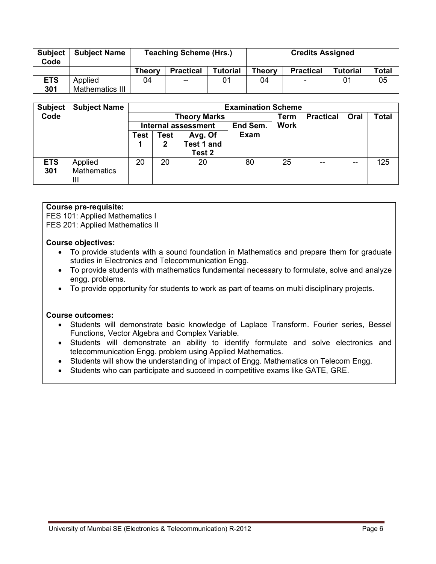| <b>Subject</b><br>Code | <b>Subject Name</b> |        | <b>Teaching Scheme (Hrs.)</b> |                 | <b>Credits Assigned</b> |                          |                 |              |  |
|------------------------|---------------------|--------|-------------------------------|-----------------|-------------------------|--------------------------|-----------------|--------------|--|
|                        |                     | Theorv | <b>Practical</b>              | <b>Tutorial</b> | <b>Theory</b>           | <b>Practical</b>         | <b>Tutorial</b> | <b>Total</b> |  |
| <b>ETS</b>             | Applied             | 04     | --                            |                 | 04                      | $\overline{\phantom{a}}$ | 01              | 05           |  |
| 301                    | Mathematics III     |        |                               |                 |                         |                          |                 |              |  |

| <b>Subject</b>    | <b>Subject Name</b>                             | <b>Examination Scheme</b> |                                                       |                              |      |    |                  |      |       |  |
|-------------------|-------------------------------------------------|---------------------------|-------------------------------------------------------|------------------------------|------|----|------------------|------|-------|--|
| Code              |                                                 |                           | <b>Theory Marks</b>                                   |                              |      |    | <b>Practical</b> | Oral | Total |  |
|                   |                                                 |                           | <b>Work</b><br>End Sem.<br><b>Internal assessment</b> |                              |      |    |                  |      |       |  |
|                   |                                                 | Test                      | <b>Test</b><br>2                                      | Avg. Of<br><b>Test 1 and</b> | Exam |    |                  |      |       |  |
|                   |                                                 |                           |                                                       | Test 2                       |      |    |                  |      |       |  |
| <b>ETS</b><br>301 | Applied<br><b>Mathematics</b><br>$\mathbf{III}$ | 20                        | 20                                                    | 20                           | 80   | 25 | --               |      | 125   |  |

# **Course pre-requisite:**

FES 101: Applied Mathematics I

FES 201: Applied Mathematics II

#### **Course objectives:**

- To provide students with a sound foundation in Mathematics and prepare them for graduate studies in Electronics and Telecommunication Engg.
- To provide students with mathematics fundamental necessary to formulate, solve and analyze engg. problems.
- To provide opportunity for students to work as part of teams on multi disciplinary projects.

#### **Course outcomes:**

- Students will demonstrate basic knowledge of Laplace Transform. Fourier series, Bessel Functions, Vector Algebra and Complex Variable.
- Students will demonstrate an ability to identify formulate and solve electronics and telecommunication Engg. problem using Applied Mathematics.
- Students will show the understanding of impact of Engg. Mathematics on Telecom Engg.
- Students who can participate and succeed in competitive exams like GATE, GRE.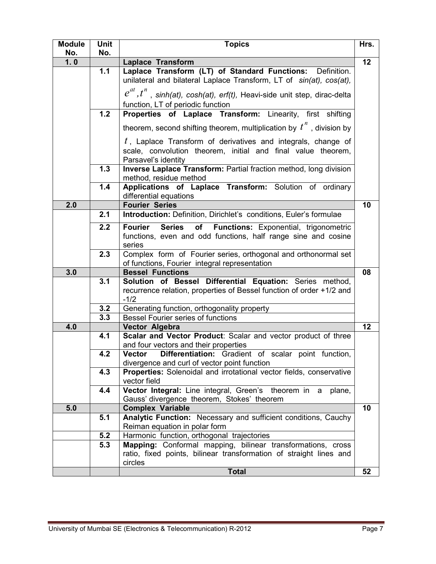| <b>Module</b><br>No. | Unit<br>No. | <b>Topics</b>                                                                                                                                          | Hrs. |
|----------------------|-------------|--------------------------------------------------------------------------------------------------------------------------------------------------------|------|
| 1.0                  |             | <b>Laplace Transform</b>                                                                                                                               | 12   |
|                      | 1.1         | Laplace Transform (LT) of Standard Functions: Definition.<br>unilateral and bilateral Laplace Transform, LT of sin(at), cos(at),                       |      |
|                      |             | $e^{at}$ , $t^n$ , sinh(at), cosh(at), erf(t), Heavi-side unit step, dirac-delta<br>function, LT of periodic function                                  |      |
|                      | 1.2         | Properties of Laplace Transform: Linearity, first shifting                                                                                             |      |
|                      |             | theorem, second shifting theorem, multiplication by $t''$ , division by                                                                                |      |
|                      |             | $t$ , Laplace Transform of derivatives and integrals, change of<br>scale, convolution theorem, initial and final value theorem,<br>Parsavel's identity |      |
|                      | 1.3         | Inverse Laplace Transform: Partial fraction method, long division<br>method, residue method                                                            |      |
|                      | 1.4         | Applications of Laplace Transform: Solution of ordinary<br>differential equations                                                                      |      |
| 2.0                  |             | <b>Fourier Series</b>                                                                                                                                  | 10   |
|                      | 2.1         | Introduction: Definition, Dirichlet's conditions, Euler's formulae                                                                                     |      |
|                      | 2.2         | <b>Fourier</b><br><b>Series</b><br>of<br><b>Functions:</b> Exponential, trigonometric<br>functions, even and odd functions, half range sine and cosine |      |
|                      |             | series                                                                                                                                                 |      |
|                      | 2.3         | Complex form of Fourier series, orthogonal and orthonormal set                                                                                         |      |
| 3.0                  |             | of functions, Fourier integral representation<br><b>Bessel Functions</b>                                                                               | 08   |
|                      | 3.1         | Solution of Bessel Differential Equation: Series method,                                                                                               |      |
|                      |             | recurrence relation, properties of Bessel function of order +1/2 and<br>$-1/2$                                                                         |      |
|                      | 3.2         | Generating function, orthogonality property                                                                                                            |      |
|                      | 3.3         | <b>Bessel Fourier series of functions</b>                                                                                                              |      |
| 4.0                  |             | Vector Algebra                                                                                                                                         | 12   |
|                      | 4.1         | Scalar and Vector Product: Scalar and vector product of three<br>and four vectors and their properties                                                 |      |
|                      | 4.2         | <b>Vector</b><br>Differentiation: Gradient of scalar point function,                                                                                   |      |
|                      |             | divergence and curl of vector point function                                                                                                           |      |
|                      | 4.3         | Properties: Solenoidal and irrotational vector fields, conservative<br>vector field                                                                    |      |
|                      | 4.4         | Vector Integral: Line integral, Green's theorem in a plane,<br>Gauss' divergence theorem, Stokes' theorem                                              |      |
| 5.0                  |             | <b>Complex Variable</b>                                                                                                                                | 10   |
|                      | 5.1         | Analytic Function: Necessary and sufficient conditions, Cauchy<br>Reiman equation in polar form                                                        |      |
|                      | 5.2         | Harmonic function, orthogonal trajectories                                                                                                             |      |
|                      | 5.3         | Mapping: Conformal mapping, bilinear transformations, cross<br>ratio, fixed points, bilinear transformation of straight lines and<br>circles           |      |
|                      |             | <b>Total</b>                                                                                                                                           | 52   |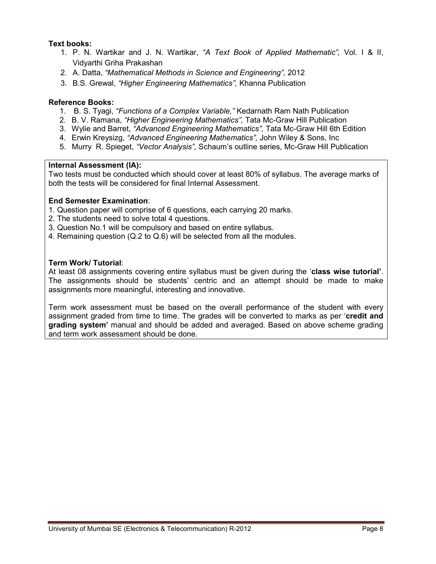# **Text books:**

- 1. P. N. Wartikar and J. N. Wartikar, *"A Text Book of Applied Mathematic",* Vol. I & II, Vidyarthi Griha Prakashan
- 2. A. Datta, *"Mathematical Methods in Science and Engineering",* 2012
- 3. B.S. Grewal, *"Higher Engineering Mathematics",* Khanna Publication

# **Reference Books:**

- 1. B. S. Tyagi, *"Functions of a Complex Variable,"* Kedarnath Ram Nath Publication
- 2. B. V. Ramana, *"Higher Engineering Mathematics",* Tata Mc-Graw Hill Publication
- 3. Wylie and Barret, *"Advanced Engineering Mathematics",* Tata Mc-Graw Hill 6th Edition
- 4. Erwin Kreysizg, *"Advanced Engineering Mathematics",* John Wiley & Sons, Inc
- 5. Murry R. Spieget, *"Vector Analysis",* Schaum's outline series, Mc-Graw Hill Publication

#### **Internal Assessment (IA):**

Two tests must be conducted which should cover at least 80% of syllabus. The average marks of both the tests will be considered for final Internal Assessment.

#### **End Semester Examination**:

- 1. Question paper will comprise of 6 questions, each carrying 20 marks.
- 2. The students need to solve total 4 questions.
- 3. Question No.1 will be compulsory and based on entire syllabus.
- 4. Remaining question (Q.2 to Q.6) will be selected from all the modules.

# **Term Work/ Tutorial**:

At least 08 assignments covering entire syllabus must be given during the '**class wise tutorial'**. The assignments should be students' centric and an attempt should be made to make assignments more meaningful, interesting and innovative.

Term work assessment must be based on the overall performance of the student with every assignment graded from time to time. The grades will be converted to marks as per '**credit and grading system'** manual and should be added and averaged. Based on above scheme grading and term work assessment should be done.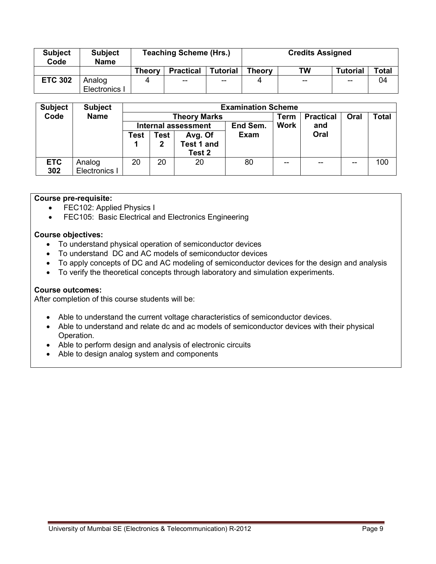| <b>Subject</b><br>Code | <b>Subject</b><br><b>Name</b> |               | <b>Teaching Scheme (Hrs.)</b> |                 | <b>Credits Assigned</b> |           |                 |       |  |
|------------------------|-------------------------------|---------------|-------------------------------|-----------------|-------------------------|-----------|-----------------|-------|--|
|                        |                               | <b>Theory</b> | <b>Practical</b>              | <b>Tutorial</b> | Theory                  | <b>TW</b> | <b>Tutorial</b> | Total |  |
| <b>ETC 302</b>         | Analog<br>Electronics I       |               | $-$                           | --              |                         | $-$       | $- -$           | 04    |  |

| <b>Subject</b> | <b>Subject</b> | <b>Examination Scheme</b> |                                                |                     |             |                  |      |              |     |  |  |
|----------------|----------------|---------------------------|------------------------------------------------|---------------------|-------------|------------------|------|--------------|-----|--|--|
| Code           | <b>Name</b>    |                           |                                                | <b>Theory Marks</b> | Term        | <b>Practical</b> | Oral | <b>Total</b> |     |  |  |
|                |                |                           | <b>Work</b><br>End Sem.<br>Internal assessment |                     |             |                  | and  |              |     |  |  |
|                |                | Test                      | <b>Test</b>                                    | Avg. Of             | <b>Exam</b> |                  | Oral |              |     |  |  |
|                |                |                           | 2                                              | Test 1 and          |             |                  |      |              |     |  |  |
|                |                |                           |                                                | Test 2              |             |                  |      |              |     |  |  |
| <b>ETC</b>     | Analog         | 20                        | 20                                             | 20                  | 80          | $-$              |      |              | 100 |  |  |
| 302            | Electronics I  |                           |                                                |                     |             |                  |      |              |     |  |  |

# **Course pre-requisite:**

- FEC102: Applied Physics I
- FEC105: Basic Electrical and Electronics Engineering

# **Course objectives:**

- To understand physical operation of semiconductor devices
- To understand DC and AC models of semiconductor devices
- To apply concepts of DC and AC modeling of semiconductor devices for the design and analysis
- To verify the theoretical concepts through laboratory and simulation experiments.

#### **Course outcomes:**

After completion of this course students will be:

- Able to understand the current voltage characteristics of semiconductor devices.
- Able to understand and relate dc and ac models of semiconductor devices with their physical Operation.
- Able to perform design and analysis of electronic circuits
- Able to design analog system and components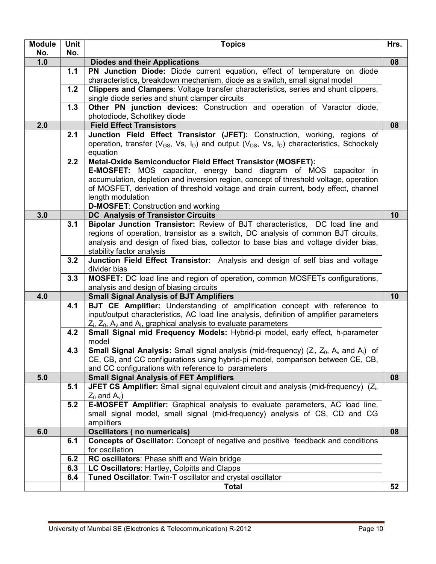| <b>Module</b> | <b>Unit</b> | <b>Topics</b>                                                                                                                                       | Hrs. |
|---------------|-------------|-----------------------------------------------------------------------------------------------------------------------------------------------------|------|
| No.           | No.         |                                                                                                                                                     |      |
| 1.0           |             | <b>Diodes and their Applications</b>                                                                                                                | 08   |
|               | 1.1         | PN Junction Diode: Diode current equation, effect of temperature on diode                                                                           |      |
|               |             | characteristics, breakdown mechanism, diode as a switch, small signal model                                                                         |      |
|               | 1.2         | Clippers and Clampers: Voltage transfer characteristics, series and shunt clippers,                                                                 |      |
|               |             | single diode series and shunt clamper circuits                                                                                                      |      |
|               | 1.3         | Other PN junction devices: Construction and operation of Varactor diode,                                                                            |      |
|               |             | photodiode, Schottkey diode                                                                                                                         |      |
| 2.0           |             | <b>Field Effect Transistors</b>                                                                                                                     | 08   |
|               | 2.1         | Junction Field Effect Transistor (JFET): Construction, working, regions of                                                                          |      |
|               |             | operation, transfer ( $V_{GS}$ , Vs, I <sub>D</sub> ) and output ( $V_{DS}$ , Vs, I <sub>D</sub> ) characteristics, Schockely                       |      |
|               |             | equation                                                                                                                                            |      |
|               | 2.2         | Metal-Oxide Semiconductor Field Effect Transistor (MOSFET):                                                                                         |      |
|               |             | <b>E-MOSFET:</b> MOS capacitor, energy band diagram of MOS capacitor in                                                                             |      |
|               |             | accumulation, depletion and inversion region, concept of threshold voltage, operation                                                               |      |
|               |             | of MOSFET, derivation of threshold voltage and drain current, body effect, channel<br>length modulation                                             |      |
|               |             | <b>D-MOSFET:</b> Construction and working                                                                                                           |      |
| 3.0           |             | <b>DC</b> Analysis of Transistor Circuits                                                                                                           | 10   |
|               | 3.1         | Bipolar Junction Transistor: Review of BJT characteristics, DC load line and                                                                        |      |
|               |             | regions of operation, transistor as a switch, DC analysis of common BJT circuits,                                                                   |      |
|               |             | analysis and design of fixed bias, collector to base bias and voltage divider bias,                                                                 |      |
|               |             | stability factor analysis                                                                                                                           |      |
|               | 3.2         | Junction Field Effect Transistor: Analysis and design of self bias and voltage                                                                      |      |
|               |             | divider bias                                                                                                                                        |      |
|               | 3.3         | MOSFET: DC load line and region of operation, common MOSFETs configurations,                                                                        |      |
|               |             | analysis and design of biasing circuits                                                                                                             |      |
| 4.0           |             | <b>Small Signal Analysis of BJT Amplifiers</b>                                                                                                      | 10   |
|               | 4.1         | BJT CE Amplifier: Understanding of amplification concept with reference to                                                                          |      |
|               |             | input/output characteristics, AC load line analysis, definition of amplifier parameters                                                             |      |
|               |             | $Z_i$ , $Z_0$ , $A_v$ and $A_i$ , graphical analysis to evaluate parameters                                                                         |      |
|               | 4.2         | Small Signal mid Frequency Models: Hybrid-pi model, early effect, h-parameter                                                                       |      |
|               |             | model                                                                                                                                               |      |
|               | 4.3         | Small Signal Analysis: Small signal analysis (mid-frequency) (Z <sub>i</sub> , Z <sub>0</sub> , A <sub>v</sub> and A <sub>i</sub> ) of              |      |
|               |             | CE, CB, and CC configurations using hybrid-pi model, comparison between CE, CB,                                                                     |      |
|               |             | and CC configurations with reference to parameters                                                                                                  |      |
| 5.0           | 5.1         | <b>Small Signal Analysis of FET Amplifiers</b><br>JFET CS Amplifier: Small signal equivalent circuit and analysis (mid-frequency) (Z <sub>i</sub> , | 08   |
|               |             | $Z_0$ and $A_v$ )                                                                                                                                   |      |
|               | 5.2         | <b>E-MOSFET Amplifier:</b> Graphical analysis to evaluate parameters, AC load line,                                                                 |      |
|               |             | small signal model, small signal (mid-frequency) analysis of CS, CD and CG                                                                          |      |
|               |             | amplifiers                                                                                                                                          |      |
| 6.0           |             | <b>Oscillators (no numericals)</b>                                                                                                                  | 08   |
|               | 6.1         | <b>Concepts of Oscillator:</b> Concept of negative and positive feedback and conditions                                                             |      |
|               |             | for oscillation                                                                                                                                     |      |
|               | 6.2         | RC oscillators: Phase shift and Wein bridge                                                                                                         |      |
|               | 6.3         | LC Oscillators: Hartley, Colpitts and Clapps                                                                                                        |      |
|               | 6.4         | Tuned Oscillator: Twin-T oscillator and crystal oscillator                                                                                          |      |
|               |             | <b>Total</b>                                                                                                                                        | 52   |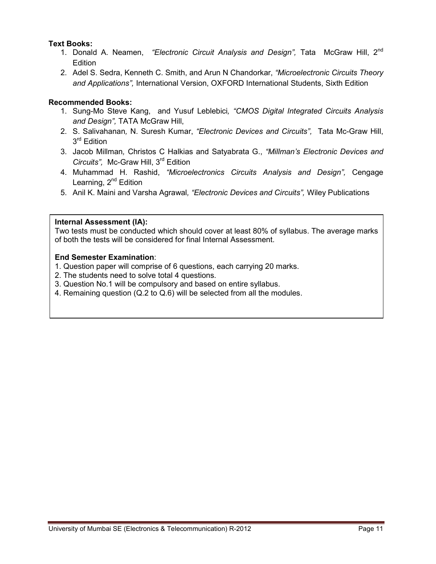# **Text Books:**

- 1. Donald A. Neamen, *"Electronic Circuit Analysis and Design",* Tata McGraw Hill, 2nd **Edition**
- 2. Adel S. Sedra, Kenneth C. Smith, and Arun N Chandorkar, *"Microelectronic Circuits Theory and Applications",* International Version, OXFORD International Students, Sixth Edition

# **Recommended Books:**

- 1. Sung-Mo Steve Kang, and Yusuf Leblebici*, "CMOS Digital Integrated Circuits Analysis and Design",* TATA McGraw Hill,
- 2. S. Salivahanan*,* N. Suresh Kumar, *"Electronic Devices and Circuits",* Tata Mc-Graw Hill, 3<sup>rd</sup> Edition
- 3. Jacob Millman*,* Christos C Halkias and Satyabrata G., *"Millman's Electronic Devices and Circuits",* Mc-Graw Hill, 3rd Edition
- 4. Muhammad H. Rashid, *"Microelectronics Circuits Analysis and Design",* Cengage Learning,  $2^{nd}$  Edition
- 5. Anil K. Maini and Varsha Agrawal*, "Electronic Devices and Circuits",* Wiley Publications

# **Internal Assessment (IA):**

Two tests must be conducted which should cover at least 80% of syllabus. The average marks of both the tests will be considered for final Internal Assessment.

- 1. Question paper will comprise of 6 questions, each carrying 20 marks.
- 2. The students need to solve total 4 questions.
- 3. Question No.1 will be compulsory and based on entire syllabus.
- 4. Remaining question (Q.2 to Q.6) will be selected from all the modules.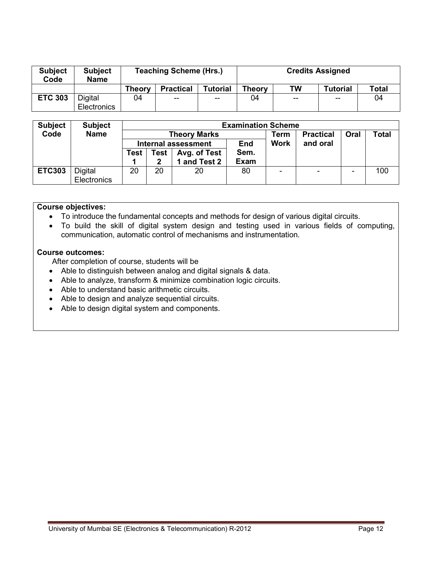| <b>Subject</b><br>Code | <b>Subject</b><br><b>Name</b> |               | <b>Teaching Scheme (Hrs.)</b> |                          | <b>Credits Assigned</b> |       |                 |              |  |
|------------------------|-------------------------------|---------------|-------------------------------|--------------------------|-------------------------|-------|-----------------|--------------|--|
|                        |                               | <b>Theory</b> | <b>Practical</b>              | <b>Tutorial</b>          | <b>Theory</b>           | TW    | <b>Tutorial</b> | <b>Total</b> |  |
| <b>ETC 303</b>         | Digital<br>Electronics        | 04            | $-$                           | $\overline{\phantom{m}}$ | 04                      | $- -$ | $-$             | 04           |  |

| <b>Subject</b><br>Code | <b>Subject</b><br><b>Name</b> |      |              | <b>Theory Marks</b>        | <b>Examination Scheme</b> | <b>Practical</b><br>Oral<br><b>Total</b><br>Term |          |   |     |  |
|------------------------|-------------------------------|------|--------------|----------------------------|---------------------------|--------------------------------------------------|----------|---|-----|--|
|                        |                               |      |              | <b>Internal assessment</b> | <b>End</b>                | <b>Work</b>                                      | and oral |   |     |  |
|                        |                               | Test | Test         | Avg. of Test               | Sem.                      |                                                  |          |   |     |  |
|                        |                               |      | $\mathbf{2}$ | and Test 2                 | <b>Exam</b>               |                                                  |          |   |     |  |
| <b>ETC303</b>          | Digital                       | 20   | 20           | 20                         | 80                        |                                                  | ۰        | ۰ | 100 |  |
|                        | Electronics                   |      |              |                            |                           |                                                  |          |   |     |  |

# **Course objectives:**

- To introduce the fundamental concepts and methods for design of various digital circuits.
- To build the skill of digital system design and testing used in various fields of computing, communication, automatic control of mechanisms and instrumentation.

#### **Course outcomes:**

After completion of course, students will be

- Able to distinguish between analog and digital signals & data.
- Able to analyze, transform & minimize combination logic circuits.
- Able to understand basic arithmetic circuits.
- Able to design and analyze sequential circuits.
- Able to design digital system and components.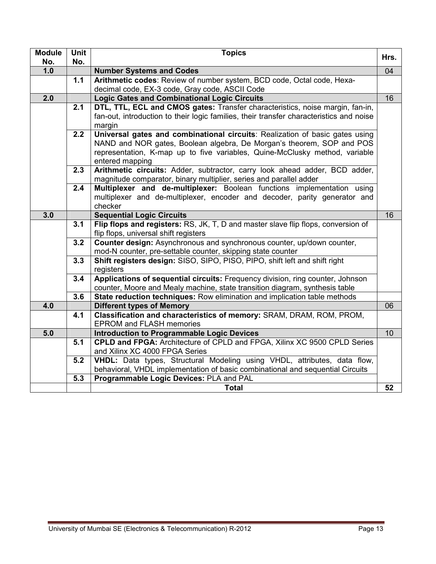| <b>Module</b> | Unit             | <b>Topics</b>                                                                                                                                            |      |  |  |  |  |  |  |
|---------------|------------------|----------------------------------------------------------------------------------------------------------------------------------------------------------|------|--|--|--|--|--|--|
| No.           | No.              |                                                                                                                                                          | Hrs. |  |  |  |  |  |  |
| 1.0           |                  | <b>Number Systems and Codes</b>                                                                                                                          | 04   |  |  |  |  |  |  |
|               | 1.1              | Arithmetic codes: Review of number system, BCD code, Octal code, Hexa-                                                                                   |      |  |  |  |  |  |  |
|               |                  | decimal code, EX-3 code, Gray code, ASCII Code                                                                                                           |      |  |  |  |  |  |  |
| 2.0           |                  | <b>Logic Gates and Combinational Logic Circuits</b>                                                                                                      | 16   |  |  |  |  |  |  |
|               | $\overline{2.1}$ | DTL, TTL, ECL and CMOS gates: Transfer characteristics, noise margin, fan-in,                                                                            |      |  |  |  |  |  |  |
|               |                  | fan-out, introduction to their logic families, their transfer characteristics and noise                                                                  |      |  |  |  |  |  |  |
|               | $\overline{2.2}$ | margin<br>Universal gates and combinational circuits: Realization of basic gates using                                                                   |      |  |  |  |  |  |  |
|               |                  | NAND and NOR gates, Boolean algebra, De Morgan's theorem, SOP and POS                                                                                    |      |  |  |  |  |  |  |
|               |                  | representation, K-map up to five variables, Quine-McClusky method, variable                                                                              |      |  |  |  |  |  |  |
|               |                  | entered mapping                                                                                                                                          |      |  |  |  |  |  |  |
|               | 2.3              | Arithmetic circuits: Adder, subtractor, carry look ahead adder, BCD adder,                                                                               |      |  |  |  |  |  |  |
|               |                  | magnitude comparator, binary multiplier, series and parallel adder                                                                                       |      |  |  |  |  |  |  |
|               | 2.4              | Multiplexer and de-multiplexer: Boolean functions implementation using                                                                                   |      |  |  |  |  |  |  |
|               |                  | multiplexer and de-multiplexer, encoder and decoder, parity generator and                                                                                |      |  |  |  |  |  |  |
|               |                  | checker                                                                                                                                                  |      |  |  |  |  |  |  |
| 3.0           |                  | <b>Sequential Logic Circuits</b>                                                                                                                         | 16   |  |  |  |  |  |  |
|               | 3.1              | Flip flops and registers: RS, JK, T, D and master slave flip flops, conversion of                                                                        |      |  |  |  |  |  |  |
|               |                  | flip flops, universal shift registers                                                                                                                    |      |  |  |  |  |  |  |
|               | 3.2              | Counter design: Asynchronous and synchronous counter, up/down counter,                                                                                   |      |  |  |  |  |  |  |
|               |                  | mod-N counter, pre-settable counter, skipping state counter                                                                                              |      |  |  |  |  |  |  |
|               | 3.3              | Shift registers design: SISO, SIPO, PISO, PIPO, shift left and shift right                                                                               |      |  |  |  |  |  |  |
|               | 3.4              | registers<br>Applications of sequential circuits: Frequency division, ring counter, Johnson                                                              |      |  |  |  |  |  |  |
|               |                  |                                                                                                                                                          |      |  |  |  |  |  |  |
|               | 3.6              | counter, Moore and Mealy machine, state transition diagram, synthesis table<br>State reduction techniques: Row elimination and implication table methods |      |  |  |  |  |  |  |
| 4.0           |                  | <b>Different types of Memory</b>                                                                                                                         | 06   |  |  |  |  |  |  |
|               | 4.1              | Classification and characteristics of memory: SRAM, DRAM, ROM, PROM,                                                                                     |      |  |  |  |  |  |  |
|               |                  | <b>EPROM and FLASH memories</b>                                                                                                                          |      |  |  |  |  |  |  |
| 5.0           |                  | <b>Introduction to Programmable Logic Devices</b>                                                                                                        | 10   |  |  |  |  |  |  |
|               | 5.1              | CPLD and FPGA: Architecture of CPLD and FPGA, Xilinx XC 9500 CPLD Series                                                                                 |      |  |  |  |  |  |  |
|               |                  | and Xilinx XC 4000 FPGA Series                                                                                                                           |      |  |  |  |  |  |  |
|               | 5.2              | VHDL: Data types, Structural Modeling using VHDL, attributes, data flow,                                                                                 |      |  |  |  |  |  |  |
|               |                  | behavioral, VHDL implementation of basic combinational and sequential Circuits                                                                           |      |  |  |  |  |  |  |
|               | 5.3              | Programmable Logic Devices: PLA and PAL                                                                                                                  |      |  |  |  |  |  |  |
|               |                  | <b>Total</b>                                                                                                                                             | 52   |  |  |  |  |  |  |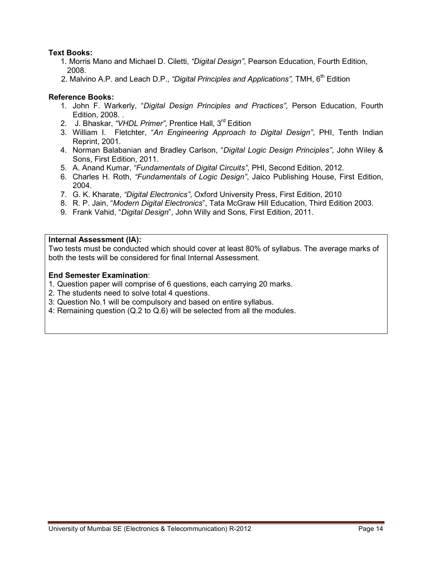# **Text Books:**

- 1. Morris Mano and Michael D. Ciletti, *"Digital Design"*, Pearson Education, Fourth Edition, 2008.
- 2. Malvino A.P. and Leach D.P., *"Digital Principles and Applications"*. TMH. 6<sup>th</sup> Edition

# **Reference Books:**

- 1. John F. Warkerly, "*Digital Design Principles and Practices"*, Person Education, Fourth Edition, 2008. .
- 2. J. Bhaskar, *"VHDL Primer",* Prentice Hall, 3rd Edition
- 3. William I. Fletchter, "*An Engineering Approach to Digital Design"*, PHI, Tenth Indian Reprint, 2001.
- 4. Norman Balabanian and Bradley Carlson, "*Digital Logic Design Principles"*, John Wiley & Sons, First Edition, 2011.
- 5. A. Anand Kumar, *"Fundamentals of Digital Circuits"*, PHI, Second Edition, 2012.
- 6. Charles H. Roth, *"Fundamentals of Logic Design"*, Jaico Publishing House, First Edition, 2004.
- 7. G. K. Kharate, *"Digital Electronics"*, Oxford University Press, First Edition, 2010
- 8. R. P. Jain, "*Modern Digital Electronics*", Tata McGraw Hill Education, Third Edition 2003.
- 9. Frank Vahid, "*Digital Design*", John Willy and Sons, First Edition, 2011.

#### **Internal Assessment (IA):**

Two tests must be conducted which should cover at least 80% of syllabus. The average marks of both the tests will be considered for final Internal Assessment.

- 1. Question paper will comprise of 6 questions, each carrying 20 marks.
- 2. The students need to solve total 4 questions.
- 3: Question No.1 will be compulsory and based on entire syllabus.
- 4: Remaining question (Q.2 to Q.6) will be selected from all the modules.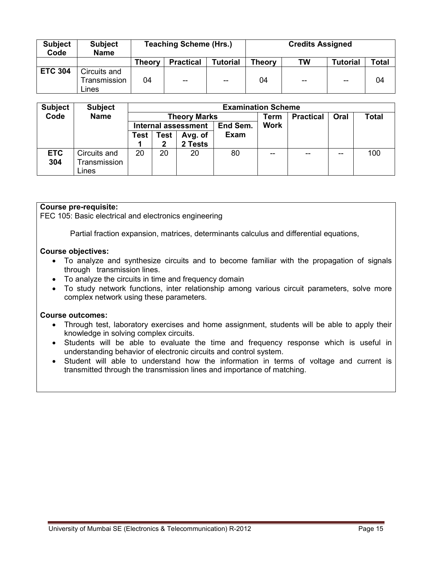| <b>Subject</b><br>Code | <b>Subject</b><br><b>Name</b>         |        | <b>Teaching Scheme (Hrs.)</b> |                 | <b>Credits Assigned</b> |     |                 |              |  |
|------------------------|---------------------------------------|--------|-------------------------------|-----------------|-------------------------|-----|-----------------|--------------|--|
|                        |                                       | Theory | <b>Practical</b>              | <b>Tutorial</b> | <b>Theory</b>           | TW  | <b>Tutorial</b> | <b>Total</b> |  |
| <b>ETC 304</b>         | Circuits and<br>Transmission<br>Lines | 04     | $-$                           | $-$             | 04                      | $-$ | $-$             | 04           |  |

| <b>Subject</b> | <b>Subject</b> |      |                 | <b>Examination Scheme</b>  |             |             |                  |      |              |
|----------------|----------------|------|-----------------|----------------------------|-------------|-------------|------------------|------|--------------|
| Code           | <b>Name</b>    |      |                 | <b>Theory Marks</b>        |             | Term        | <b>Practical</b> | Oral | <b>Total</b> |
|                |                |      |                 | <b>Internal assessment</b> | End Sem.    | <b>Work</b> |                  |      |              |
|                |                | Test | Test<br>Avg. of |                            | <b>Exam</b> |             |                  |      |              |
|                |                |      | 2               | 2 Tests                    |             |             |                  |      |              |
| <b>ETC</b>     | Circuits and   | 20   | 20              | 20                         | 80          | --          | $- -$            | --   | 100          |
| 304            | Transmission   |      |                 |                            |             |             |                  |      |              |
|                | Lines          |      |                 |                            |             |             |                  |      |              |

# **Course pre-requisite:**

FEC 105: Basic electrical and electronics engineering

Partial fraction expansion, matrices, determinants calculus and differential equations,

#### **Course objectives:**

- To analyze and synthesize circuits and to become familiar with the propagation of signals through transmission lines.
- To analyze the circuits in time and frequency domain
- To study network functions, inter relationship among various circuit parameters, solve more complex network using these parameters.

#### **Course outcomes:**

- Through test, laboratory exercises and home assignment, students will be able to apply their knowledge in solving complex circuits.
- Students will be able to evaluate the time and frequency response which is useful in understanding behavior of electronic circuits and control system.
- Student will able to understand how the information in terms of voltage and current is transmitted through the transmission lines and importance of matching.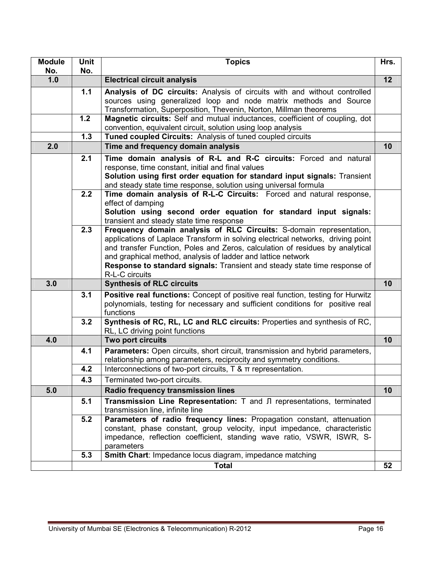| <b>Module</b><br>No. | Unit<br>No. | <b>Topics</b>                                                                                                                                                                                                                                                                                                                                                                                          | Hrs. |
|----------------------|-------------|--------------------------------------------------------------------------------------------------------------------------------------------------------------------------------------------------------------------------------------------------------------------------------------------------------------------------------------------------------------------------------------------------------|------|
| 1.0                  |             | <b>Electrical circuit analysis</b>                                                                                                                                                                                                                                                                                                                                                                     | 12   |
|                      | 1.1         | Analysis of DC circuits: Analysis of circuits with and without controlled<br>sources using generalized loop and node matrix methods and Source<br>Transformation, Superposition, Thevenin, Norton, Millman theorems                                                                                                                                                                                    |      |
|                      | $1.2$       | Magnetic circuits: Self and mutual inductances, coefficient of coupling, dot<br>convention, equivalent circuit, solution using loop analysis                                                                                                                                                                                                                                                           |      |
|                      | 1.3         | Tuned coupled Circuits: Analysis of tuned coupled circuits                                                                                                                                                                                                                                                                                                                                             |      |
| 2.0                  |             | Time and frequency domain analysis                                                                                                                                                                                                                                                                                                                                                                     | 10   |
|                      | 2.1         | Time domain analysis of R-L and R-C circuits: Forced and natural<br>response, time constant, initial and final values<br>Solution using first order equation for standard input signals: Transient<br>and steady state time response, solution using universal formula                                                                                                                                 |      |
|                      | 2.2         | Time domain analysis of R-L-C Circuits: Forced and natural response,<br>effect of damping<br>Solution using second order equation for standard input signals:<br>transient and steady state time response                                                                                                                                                                                              |      |
|                      | 2.3         | Frequency domain analysis of RLC Circuits: S-domain representation,<br>applications of Laplace Transform in solving electrical networks, driving point<br>and transfer Function, Poles and Zeros, calculation of residues by analytical<br>and graphical method, analysis of ladder and lattice network<br>Response to standard signals: Transient and steady state time response of<br>R-L-C circuits |      |
| 3.0                  |             | <b>Synthesis of RLC circuits</b>                                                                                                                                                                                                                                                                                                                                                                       | 10   |
|                      | 3.1         | Positive real functions: Concept of positive real function, testing for Hurwitz<br>polynomials, testing for necessary and sufficient conditions for positive real<br>functions                                                                                                                                                                                                                         |      |
|                      | 3.2         | Synthesis of RC, RL, LC and RLC circuits: Properties and synthesis of RC,<br>RL, LC driving point functions                                                                                                                                                                                                                                                                                            |      |
| 4.0                  |             | Two port circuits                                                                                                                                                                                                                                                                                                                                                                                      | 10   |
|                      | 4.1         | Parameters: Open circuits, short circuit, transmission and hybrid parameters,<br>relationship among parameters, reciprocity and symmetry conditions.                                                                                                                                                                                                                                                   |      |
|                      | 4.2         | Interconnections of two-port circuits, $T < T$ representation.                                                                                                                                                                                                                                                                                                                                         |      |
|                      | 4.3         | Terminated two-port circuits.                                                                                                                                                                                                                                                                                                                                                                          |      |
| 5.0                  |             | Radio frequency transmission lines                                                                                                                                                                                                                                                                                                                                                                     | 10   |
|                      | 5.1<br>5.2  | Transmission Line Representation: T and JI representations, terminated<br>transmission line, infinite line<br>Parameters of radio frequency lines: Propagation constant, attenuation                                                                                                                                                                                                                   |      |
|                      |             | constant, phase constant, group velocity, input impedance, characteristic<br>impedance, reflection coefficient, standing wave ratio, VSWR, ISWR, S-<br>parameters                                                                                                                                                                                                                                      |      |
|                      | 5.3         | Smith Chart: Impedance locus diagram, impedance matching                                                                                                                                                                                                                                                                                                                                               |      |
|                      |             | <b>Total</b>                                                                                                                                                                                                                                                                                                                                                                                           | 52   |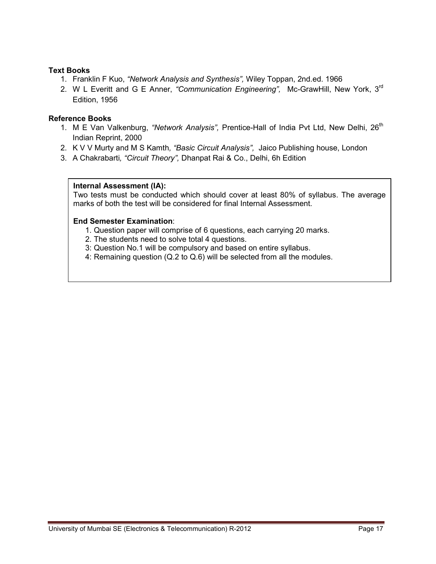# **Text Books**

- 1. Franklin F Kuo, *"Network Analysis and Synthesis",* Wiley Toppan, 2nd.ed. 1966
- 2. W L Everitt and G E Anner, *"Communication Engineering",* Mc-GrawHill, New York, 3rd Edition, 1956

#### **Reference Books**

- 1. M E Van Valkenburg, "Network Analysis", Prentice-Hall of India Pvt Ltd, New Delhi, 26<sup>th</sup> Indian Reprint, 2000
- 2. K V V Murty and M S Kamth*, "Basic Circuit Analysis",* Jaico Publishing house, London
- 3. A Chakrabarti*, "Circuit Theory",* Dhanpat Rai & Co., Delhi, 6h Edition

# **Internal Assessment (IA):**

Two tests must be conducted which should cover at least 80% of syllabus. The average marks of both the test will be considered for final Internal Assessment.

- 1. Question paper will comprise of 6 questions, each carrying 20 marks.
- 2. The students need to solve total 4 questions.
- 3: Question No.1 will be compulsory and based on entire syllabus.
- 4: Remaining question (Q.2 to Q.6) will be selected from all the modules.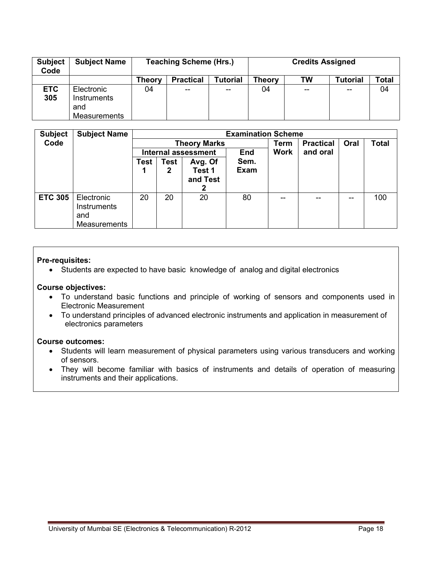| <b>Subject</b><br>Code | <b>Subject Name</b>                              |        | <b>Teaching Scheme (Hrs.)</b> |                 | <b>Credits Assigned</b> |     |                 |       |  |
|------------------------|--------------------------------------------------|--------|-------------------------------|-----------------|-------------------------|-----|-----------------|-------|--|
|                        |                                                  | Theorv | <b>Practical</b>              | <b>Tutorial</b> | Theory                  | TW  | <b>Tutorial</b> | Total |  |
| <b>ETC</b><br>305      | Electronic<br>Instruments<br>and<br>Measurements | 04     | $- -$                         | $- -$           | 04                      | $-$ | $- -$           | 04    |  |

| <b>Subject</b> | <b>Subject Name</b>                     |      | <b>Examination Scheme</b> |                            |             |      |                  |      |              |
|----------------|-----------------------------------------|------|---------------------------|----------------------------|-------------|------|------------------|------|--------------|
| Code           |                                         |      |                           | <b>Theory Marks</b>        |             | Term | <b>Practical</b> | Oral | <b>Total</b> |
|                |                                         |      |                           | <b>Internal assessment</b> | <b>End</b>  | Work | and oral         |      |              |
|                |                                         | Test | Test                      | Avg. Of                    | Sem.        |      |                  |      |              |
|                |                                         |      | 2                         | Test 1                     | <b>Exam</b> |      |                  |      |              |
|                |                                         |      |                           | and Test                   |             |      |                  |      |              |
|                |                                         |      |                           | 2                          |             |      |                  |      |              |
| <b>ETC 305</b> | Electronic<br><b>Instruments</b><br>and | 20   | 20                        | 20                         | 80          | --   | --               | --   | 100          |
|                | <b>Measurements</b>                     |      |                           |                            |             |      |                  |      |              |

# **Pre-requisites:**

• Students are expected to have basic knowledge of analog and digital electronics

# **Course objectives:**

- To understand basic functions and principle of working of sensors and components used in Electronic Measurement
- To understand principles of advanced electronic instruments and application in measurement of electronics parameters

#### **Course outcomes:**

- Students will learn measurement of physical parameters using various transducers and working of sensors.
- They will become familiar with basics of instruments and details of operation of measuring instruments and their applications.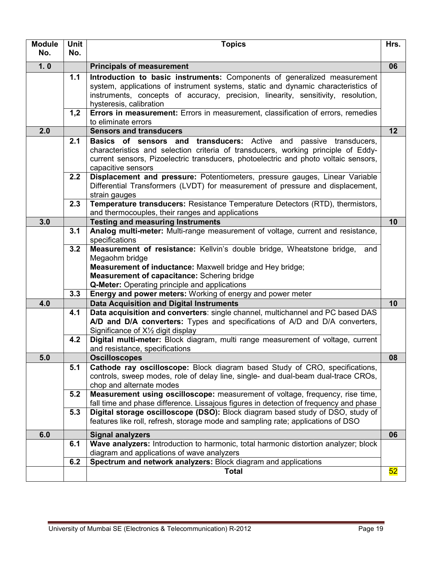| <b>Module</b> | <b>Unit</b> | <b>Topics</b>                                                                                                                                                                                                                                                                                                              | Hrs. |
|---------------|-------------|----------------------------------------------------------------------------------------------------------------------------------------------------------------------------------------------------------------------------------------------------------------------------------------------------------------------------|------|
| No.           | No.         |                                                                                                                                                                                                                                                                                                                            |      |
| 1.0           |             | <b>Principals of measurement</b>                                                                                                                                                                                                                                                                                           | 06   |
|               | 1.1         | Introduction to basic instruments: Components of generalized measurement<br>system, applications of instrument systems, static and dynamic characteristics of<br>instruments, concepts of accuracy, precision, linearity, sensitivity, resolution,<br>hysteresis, calibration                                              |      |
|               | 1,2         | Errors in measurement: Errors in measurement, classification of errors, remedies<br>to eliminate errors                                                                                                                                                                                                                    |      |
| 2.0           |             | <b>Sensors and transducers</b>                                                                                                                                                                                                                                                                                             | 12   |
|               | 2.1         | <b>Basics of sensors and transducers:</b> Active and passive transducers,<br>characteristics and selection criteria of transducers, working principle of Eddy-<br>current sensors, Pizoelectric transducers, photoelectric and photo voltaic sensors,<br>capacitive sensors                                                |      |
|               | 2.2         | Displacement and pressure: Potentiometers, pressure gauges, Linear Variable<br>Differential Transformers (LVDT) for measurement of pressure and displacement,<br>strain gauges                                                                                                                                             |      |
|               | 2.3         | Temperature transducers: Resistance Temperature Detectors (RTD), thermistors,<br>and thermocouples, their ranges and applications                                                                                                                                                                                          |      |
| 3.0           |             | <b>Testing and measuring Instruments</b>                                                                                                                                                                                                                                                                                   | 10   |
|               | 3.1         | Analog multi-meter: Multi-range measurement of voltage, current and resistance,<br>specifications                                                                                                                                                                                                                          |      |
|               | 3.2<br>3.3  | Measurement of resistance: Kellvin's double bridge, Wheatstone bridge,<br>and<br>Megaohm bridge<br>Measurement of inductance: Maxwell bridge and Hey bridge;<br>Measurement of capacitance: Schering bridge<br>Q-Meter: Operating principle and applications<br>Energy and power meters: Working of energy and power meter |      |
| 4.0           |             | <b>Data Acquisition and Digital Instruments</b>                                                                                                                                                                                                                                                                            | 10   |
|               | 4.1<br>4.2  | Data acquisition and converters: single channel, multichannel and PC based DAS<br>A/D and D/A converters: Types and specifications of A/D and D/A converters,<br>Significance of X <sup>1</sup> / <sub>2</sub> digit display<br>Digital multi-meter: Block diagram, multi range measurement of voltage, current            |      |
|               |             | and resistance, specifications                                                                                                                                                                                                                                                                                             |      |
| 5.0           |             | <b>Oscilloscopes</b>                                                                                                                                                                                                                                                                                                       | 08   |
|               | 5.1         | Cathode ray oscilloscope: Block diagram based Study of CRO, specifications,<br>controls, sweep modes, role of delay line, single- and dual-beam dual-trace CROs,<br>chop and alternate modes                                                                                                                               |      |
|               | 5.2         | Measurement using oscilloscope: measurement of voltage, frequency, rise time,<br>fall time and phase difference. Lissajous figures in detection of frequency and phase                                                                                                                                                     |      |
|               | 5.3         | Digital storage oscilloscope (DSO): Block diagram based study of DSO, study of<br>features like roll, refresh, storage mode and sampling rate; applications of DSO                                                                                                                                                         |      |
| 6.0           |             | <b>Signal analyzers</b>                                                                                                                                                                                                                                                                                                    | 06   |
|               | 6.1         | Wave analyzers: Introduction to harmonic, total harmonic distortion analyzer; block<br>diagram and applications of wave analyzers                                                                                                                                                                                          |      |
|               | 6.2         | Spectrum and network analyzers: Block diagram and applications                                                                                                                                                                                                                                                             |      |
|               |             | <b>Total</b>                                                                                                                                                                                                                                                                                                               | 52   |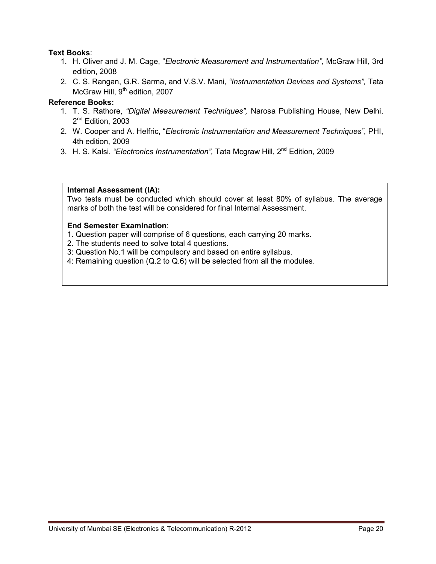# **Text Books**:

- 1. H. Oliver and J. M. Cage, "*Electronic Measurement and Instrumentation",* McGraw Hill, 3rd edition, 2008
- 2. C. S. Rangan, G.R. Sarma, and V.S.V. Mani, *"Instrumentation Devices and Systems",* Tata McGraw Hill,  $9<sup>th</sup>$  edition, 2007

# **Reference Books:**

- 1. T. S. Rathore, *"Digital Measurement Techniques",* Narosa Publishing House, New Delhi, 2<sup>nd</sup> Edition, 2003
- 2. W. Cooper and A. Helfric, "*Electronic Instrumentation and Measurement Techniques"*, PHI, 4th edition, 2009
- 3. H. S. Kalsi, *"Electronics Instrumentation"*, Tata Mcgraw Hill, 2<sup>nd</sup> Edition, 2009

# **Internal Assessment (IA):**

Two tests must be conducted which should cover at least 80% of syllabus. The average marks of both the test will be considered for final Internal Assessment.

- 1. Question paper will comprise of 6 questions, each carrying 20 marks.
- 2. The students need to solve total 4 questions.
- 3: Question No.1 will be compulsory and based on entire syllabus.
- 4: Remaining question (Q.2 to Q.6) will be selected from all the modules.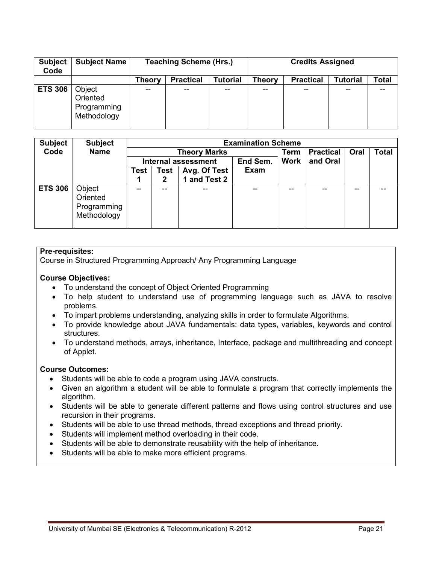| <b>Subject</b><br>Code | <b>Subject Name</b>                              |               | <b>Teaching Scheme (Hrs.)</b> |                 | <b>Credits Assigned</b> |                  |                 |       |  |
|------------------------|--------------------------------------------------|---------------|-------------------------------|-----------------|-------------------------|------------------|-----------------|-------|--|
|                        |                                                  | <b>Theory</b> | <b>Practical</b>              | <b>Tutorial</b> | <b>Theory</b>           | <b>Practical</b> | <b>Tutorial</b> | Total |  |
| <b>ETS 306</b>         | Object<br>Oriented<br>Programming<br>Methodology | $- -$         | --                            | --              | --                      | --               | --              | --    |  |

| <b>Subject</b> | <b>Subject</b> |      | <b>Examination Scheme</b> |                            |             |             |                  |      |              |  |  |
|----------------|----------------|------|---------------------------|----------------------------|-------------|-------------|------------------|------|--------------|--|--|
| Code           | <b>Name</b>    |      |                           | <b>Theory Marks</b>        |             | <b>Term</b> | <b>Practical</b> | Oral | <b>Total</b> |  |  |
|                |                |      |                           | <b>Internal assessment</b> | <b>Work</b> | and Oral    |                  |      |              |  |  |
|                |                | Test | Test                      | Avg. Of Test               | <b>Exam</b> |             |                  |      |              |  |  |
|                |                |      | $\mathbf 2$               | 1 and Test 2               |             |             |                  |      |              |  |  |
| <b>ETS 306</b> | Object         | --   | --                        |                            |             | --          |                  | --   |              |  |  |
|                | Oriented       |      |                           |                            |             |             |                  |      |              |  |  |
|                | Programming    |      |                           |                            |             |             |                  |      |              |  |  |
|                | Methodology    |      |                           |                            |             |             |                  |      |              |  |  |
|                |                |      |                           |                            |             |             |                  |      |              |  |  |

# **Pre-requisites:**

Course in Structured Programming Approach/ Any Programming Language

# **Course Objectives:**

- To understand the concept of Object Oriented Programming
- To help student to understand use of programming language such as JAVA to resolve problems.
- To impart problems understanding, analyzing skills in order to formulate Algorithms.
- To provide knowledge about JAVA fundamentals: data types, variables, keywords and control structures.
- To understand methods, arrays, inheritance, Interface, package and multithreading and concept of Applet.

#### **Course Outcomes:**

- Students will be able to code a program using JAVA constructs.
- Given an algorithm a student will be able to formulate a program that correctly implements the algorithm.
- Students will be able to generate different patterns and flows using control structures and use recursion in their programs.
- Students will be able to use thread methods, thread exceptions and thread priority.
- Students will implement method overloading in their code.
- Students will be able to demonstrate reusability with the help of inheritance.
- Students will be able to make more efficient programs.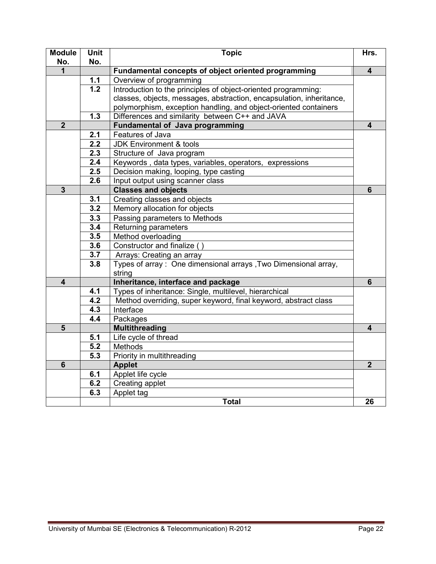| <b>Module</b><br>No.    | Unit | <b>Topic</b>                                                         | Hrs.                    |  |  |  |  |  |  |  |
|-------------------------|------|----------------------------------------------------------------------|-------------------------|--|--|--|--|--|--|--|
| 1                       | No.  | Fundamental concepts of object oriented programming                  |                         |  |  |  |  |  |  |  |
|                         | 1.1  | Overview of programming                                              | $\overline{\mathbf{4}}$ |  |  |  |  |  |  |  |
|                         | 1.2  | Introduction to the principles of object-oriented programming:       |                         |  |  |  |  |  |  |  |
|                         |      | classes, objects, messages, abstraction, encapsulation, inheritance, |                         |  |  |  |  |  |  |  |
|                         |      | polymorphism, exception handling, and object-oriented containers     |                         |  |  |  |  |  |  |  |
|                         | 1.3  | Differences and similarity between C++ and JAVA                      |                         |  |  |  |  |  |  |  |
| $\overline{2}$          |      | <b>Fundamental of Java programming</b>                               | 4                       |  |  |  |  |  |  |  |
|                         | 2.1  | Features of Java                                                     |                         |  |  |  |  |  |  |  |
|                         | 2.2  | <b>JDK Environment &amp; tools</b>                                   |                         |  |  |  |  |  |  |  |
|                         | 2.3  | Structure of Java program                                            |                         |  |  |  |  |  |  |  |
|                         | 2.4  | Keywords, data types, variables, operators, expressions              |                         |  |  |  |  |  |  |  |
|                         | 2.5  | Decision making, looping, type casting                               |                         |  |  |  |  |  |  |  |
|                         | 2.6  | Input output using scanner class                                     |                         |  |  |  |  |  |  |  |
| $\overline{\mathbf{3}}$ |      | <b>Classes and objects</b>                                           | $6\phantom{1}$          |  |  |  |  |  |  |  |
|                         | 3.1  | Creating classes and objects                                         |                         |  |  |  |  |  |  |  |
|                         | 3.2  | Memory allocation for objects                                        |                         |  |  |  |  |  |  |  |
|                         | 3.3  | Passing parameters to Methods                                        |                         |  |  |  |  |  |  |  |
|                         | 3.4  | Returning parameters                                                 |                         |  |  |  |  |  |  |  |
|                         | 3.5  | Method overloading                                                   |                         |  |  |  |  |  |  |  |
|                         | 3.6  | Constructor and finalize                                             |                         |  |  |  |  |  |  |  |
|                         | 3.7  | Arrays: Creating an array                                            |                         |  |  |  |  |  |  |  |
|                         | 3.8  | Types of array: One dimensional arrays, Two Dimensional array,       |                         |  |  |  |  |  |  |  |
|                         |      | string                                                               |                         |  |  |  |  |  |  |  |
| $\overline{\mathbf{4}}$ |      | Inheritance, interface and package                                   | 6                       |  |  |  |  |  |  |  |
|                         | 4.1  | Types of inheritance: Single, multilevel, hierarchical               |                         |  |  |  |  |  |  |  |
|                         | 4.2  | Method overriding, super keyword, final keyword, abstract class      |                         |  |  |  |  |  |  |  |
|                         | 4.3  | Interface                                                            |                         |  |  |  |  |  |  |  |
|                         | 4.4  | Packages                                                             |                         |  |  |  |  |  |  |  |
| 5                       |      | <b>Multithreading</b>                                                | 4                       |  |  |  |  |  |  |  |
|                         | 5.1  | Life cycle of thread                                                 |                         |  |  |  |  |  |  |  |
|                         | 5.2  | Methods                                                              |                         |  |  |  |  |  |  |  |
|                         | 5.3  | Priority in multithreading                                           |                         |  |  |  |  |  |  |  |
| $6\phantom{1}$          |      | <b>Applet</b>                                                        | $\overline{2}$          |  |  |  |  |  |  |  |
|                         | 6.1  | Applet life cycle                                                    |                         |  |  |  |  |  |  |  |
|                         | 6.2  | Creating applet                                                      |                         |  |  |  |  |  |  |  |
|                         | 6.3  | Applet tag                                                           |                         |  |  |  |  |  |  |  |
|                         |      | <b>Total</b>                                                         | 26                      |  |  |  |  |  |  |  |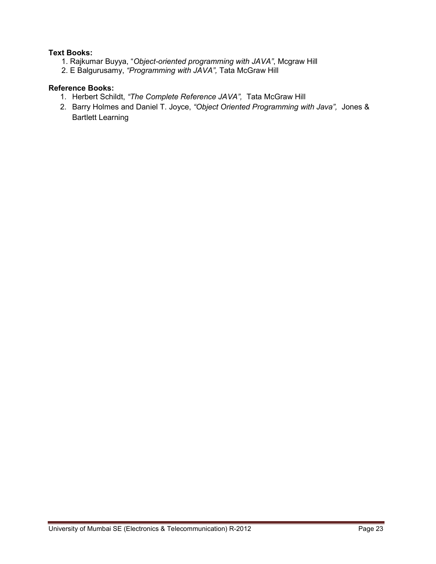# **Text Books:**

- 1. Rajkumar Buyya, "*Object-oriented programming with JAVA"*, Mcgraw Hill
- 2. E Balgurusamy, *"Programming with JAVA",* Tata McGraw Hill

# **Reference Books:**

- 1. Herbert Schildt, *"The Complete Reference JAVA",* Tata McGraw Hill
- 2. Barry Holmes and Daniel T. Joyce, *"Object Oriented Programming with Java",* Jones & Bartlett Learning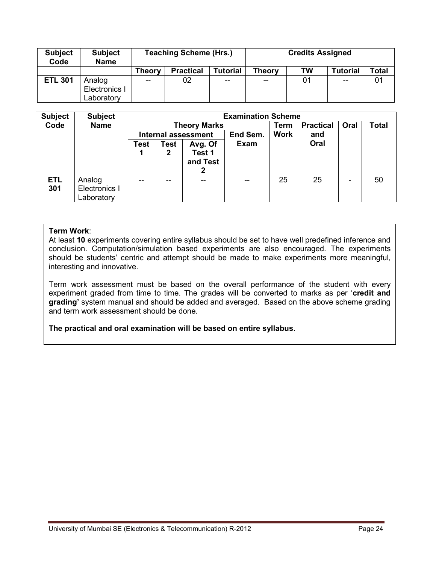| <b>Subject</b><br>Code | <b>Subject</b><br><b>Name</b> |        | <b>Teaching Scheme (Hrs.)</b> |                 | <b>Credits Assigned</b> |    |                 |       |  |
|------------------------|-------------------------------|--------|-------------------------------|-----------------|-------------------------|----|-----------------|-------|--|
|                        |                               | Theory | <b>Practical</b>              | <b>Tutorial</b> | Theory                  | TW | <b>Tutorial</b> | Total |  |
| <b>ETL 301</b>         | Analog                        | --     | 02                            | $- -$           | $- -$                   | 01 | $- -$           | 01    |  |
|                        | Electronics I                 |        |                               |                 |                         |    |                 |       |  |
|                        | Laboratory                    |        |                               |                 |                         |    |                 |       |  |

| <b>Subject</b>    | <b>Subject</b>                        |      |                                        |                                    | <b>Examination Scheme</b> |             |                  |      |              |  |  |
|-------------------|---------------------------------------|------|----------------------------------------|------------------------------------|---------------------------|-------------|------------------|------|--------------|--|--|
| Code              | <b>Name</b>                           |      | <b>Theory Marks</b>                    |                                    |                           |             | <b>Practical</b> | Oral | <b>Total</b> |  |  |
|                   |                                       |      | End Sem.<br><b>Internal assessment</b> |                                    |                           | <b>Work</b> | and              |      |              |  |  |
|                   |                                       | Test | <b>Test</b><br>2                       | Avg. Of<br>Test 1<br>and Test<br>2 | <b>Exam</b>               |             | Oral             |      |              |  |  |
| <b>ETL</b><br>301 | Analog<br>Electronics I<br>Laboratory |      | --                                     |                                    | --                        | 25          | 25               |      | 50           |  |  |

At least **10** experiments covering entire syllabus should be set to have well predefined inference and conclusion. Computation/simulation based experiments are also encouraged. The experiments should be students' centric and attempt should be made to make experiments more meaningful, interesting and innovative.

Term work assessment must be based on the overall performance of the student with every experiment graded from time to time. The grades will be converted to marks as per '**credit and grading'** system manual and should be added and averaged. Based on the above scheme grading and term work assessment should be done.

# **The practical and oral examination will be based on entire syllabus.**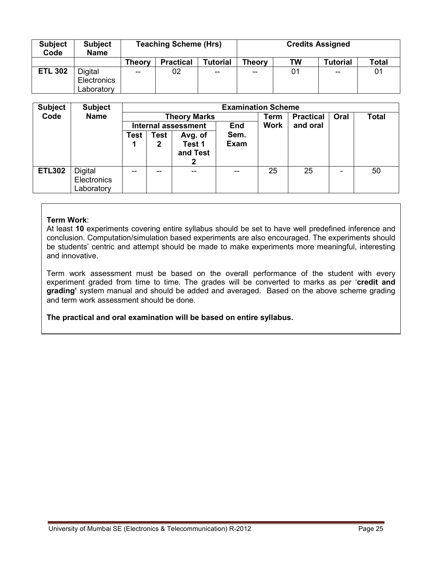| <b>Subject</b><br>Code | <b>Subject</b><br><b>Name</b> |                   | <b>Teaching Scheme (Hrs)</b> |                 | <b>Credits Assigned</b> |    |                 |                |  |
|------------------------|-------------------------------|-------------------|------------------------------|-----------------|-------------------------|----|-----------------|----------------|--|
|                        |                               | Theorv            | <b>Practical</b>             | <b>Tutorial</b> | <b>Theory</b>           | TW | <b>Tutorial</b> | <b>Total</b>   |  |
| <b>ETL 302</b>         | Digital                       | $\hspace{0.05cm}$ | 02                           | $- -$           | $- -$                   | 01 | $-$             | 0 <sup>1</sup> |  |
|                        | Electronics                   |                   |                              |                 |                         |    |                 |                |  |
|                        | Laboratory                    |                   |                              |                 |                         |    |                 |                |  |

| <b>Subject</b> | <b>Subject</b>                              |      |                                   |                               |                     |      | <b>Examination Scheme</b> |      |              |  |  |  |
|----------------|---------------------------------------------|------|-----------------------------------|-------------------------------|---------------------|------|---------------------------|------|--------------|--|--|--|
| Code           | <b>Name</b>                                 |      |                                   | <b>Theory Marks</b>           |                     | Term | <b>Practical</b>          | Oral | <b>Total</b> |  |  |  |
|                |                                             |      | End<br><b>Internal assessment</b> |                               |                     |      | and oral                  |      |              |  |  |  |
|                |                                             | Test | Test<br>2                         | Avg. of<br>Test 1<br>and Test | Sem.<br><b>Exam</b> |      |                           |      |              |  |  |  |
| <b>ETL302</b>  | <b>Digital</b><br>Electronics<br>Laboratory | $-$  |                                   |                               |                     | 25   | 25                        |      | 50           |  |  |  |

At least **10** experiments covering entire syllabus should be set to have well predefined inference and conclusion. Computation/simulation based experiments are also encouraged. The experiments should be students' centric and attempt should be made to make experiments more meaningful, interesting and innovative.

Term work assessment must be based on the overall performance of the student with every experiment graded from time to time. The grades will be converted to marks as per '**credit and grading'** system manual and should be added and averaged. Based on the above scheme grading and term work assessment should be done.

**The practical and oral examination will be based on entire syllabus.**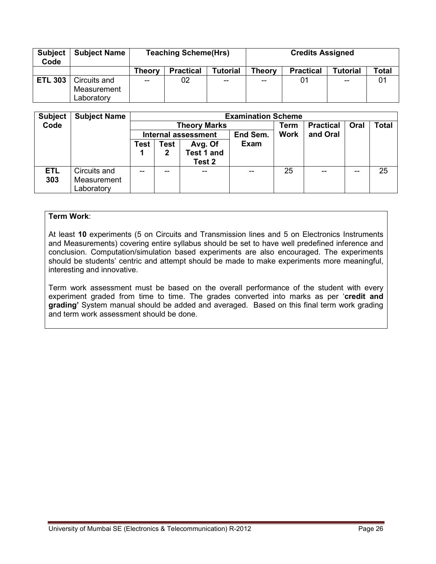| <b>Subject</b><br>Code | <b>Subject Name</b> |        | <b>Teaching Scheme(Hrs)</b> |          | <b>Credits Assigned</b> |                  |                 |              |
|------------------------|---------------------|--------|-----------------------------|----------|-------------------------|------------------|-----------------|--------------|
|                        |                     | Theorv | <b>Practical</b>            | Tutorial | <b>Theory</b>           | <b>Practical</b> | <b>Tutorial</b> | <b>Total</b> |
| <b>ETL 303</b>         | Circuits and        | $- -$  | 02                          | $- -$    | $- -$                   | 01               | $- -$           | 01           |
|                        | Measurement         |        |                             |          |                         |                  |                 |              |
|                        | Laboratorv          |        |                             |          |                         |                  |                 |              |

| <b>Subject</b> | <b>Subject Name</b> |      |      |                            | <b>Examination Scheme</b> |             |                  |      |              |
|----------------|---------------------|------|------|----------------------------|---------------------------|-------------|------------------|------|--------------|
| Code           |                     |      |      | <b>Theory Marks</b>        |                           | Term        | <b>Practical</b> | Oral | <b>Total</b> |
|                |                     |      |      | <b>Internal assessment</b> | End Sem.                  | <b>Work</b> | and Oral         |      |              |
|                |                     | Test | Test | Avg. Of                    | Exam                      |             |                  |      |              |
|                |                     |      | 2    | Test 1 and                 |                           |             |                  |      |              |
|                |                     |      |      | Test 2                     |                           |             |                  |      |              |
| <b>ETL</b>     | Circuits and        | --   | --   |                            | $- -$                     | 25          | --               | --   | 25           |
| 303            | Measurement         |      |      |                            |                           |             |                  |      |              |
|                | Laboratory          |      |      |                            |                           |             |                  |      |              |

At least **10** experiments (5 on Circuits and Transmission lines and 5 on Electronics Instruments and Measurements) covering entire syllabus should be set to have well predefined inference and conclusion. Computation/simulation based experiments are also encouraged. The experiments should be students' centric and attempt should be made to make experiments more meaningful, interesting and innovative.

Term work assessment must be based on the overall performance of the student with every experiment graded from time to time. The grades converted into marks as per '**credit and grading'** System manual should be added and averaged. Based on this final term work grading and term work assessment should be done.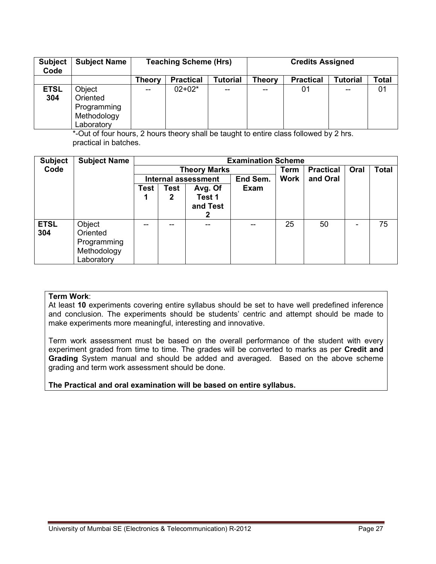| <b>Subject</b><br>Code | <b>Subject Name</b>                                            |        | <b>Teaching Scheme (Hrs)</b> |                 | <b>Credits Assigned</b> |                  |                 |       |
|------------------------|----------------------------------------------------------------|--------|------------------------------|-----------------|-------------------------|------------------|-----------------|-------|
|                        |                                                                | Theory | <b>Practical</b>             | <b>Tutorial</b> | <b>Theory</b>           | <b>Practical</b> | <b>Tutorial</b> | Total |
| <b>ETSL</b><br>304     | Object<br>Oriented<br>Programming<br>Methodology<br>Laboratory | $- -$  | $02+02*$                     | $-$             | --                      | 01               | --              | 01    |

\*-Out of four hours, 2 hours theory shall be taught to entire class followed by 2 hrs. practical in batches.

| <b>Subject</b> | <b>Subject Name</b> |      |             |                            | <b>Examination Scheme</b> |             |                  |      |              |
|----------------|---------------------|------|-------------|----------------------------|---------------------------|-------------|------------------|------|--------------|
| Code           |                     |      |             | <b>Theory Marks</b>        |                           | <b>Term</b> | <b>Practical</b> | Oral | <b>Total</b> |
|                |                     |      |             | <b>Internal assessment</b> | End Sem.                  | Work        | and Oral         |      |              |
|                |                     | Test | <b>Test</b> | Avg. Of                    | Exam                      |             |                  |      |              |
|                |                     |      | 2           | Test 1                     |                           |             |                  |      |              |
|                |                     |      |             | and Test                   |                           |             |                  |      |              |
|                |                     |      |             | 2                          |                           |             |                  |      |              |
| <b>ETSL</b>    | Object              |      | --          | --                         | --                        | 25          | 50               | ۰    | 75           |
| 304            | Oriented            |      |             |                            |                           |             |                  |      |              |
|                | Programming         |      |             |                            |                           |             |                  |      |              |
|                | Methodology         |      |             |                            |                           |             |                  |      |              |
|                | Laboratory          |      |             |                            |                           |             |                  |      |              |

#### **Term Work**:

At least **10** experiments covering entire syllabus should be set to have well predefined inference and conclusion. The experiments should be students' centric and attempt should be made to make experiments more meaningful, interesting and innovative.

Term work assessment must be based on the overall performance of the student with every experiment graded from time to time. The grades will be converted to marks as per **Credit and Grading** System manual and should be added and averaged. Based on the above scheme grading and term work assessment should be done.

# **The Practical and oral examination will be based on entire syllabus.**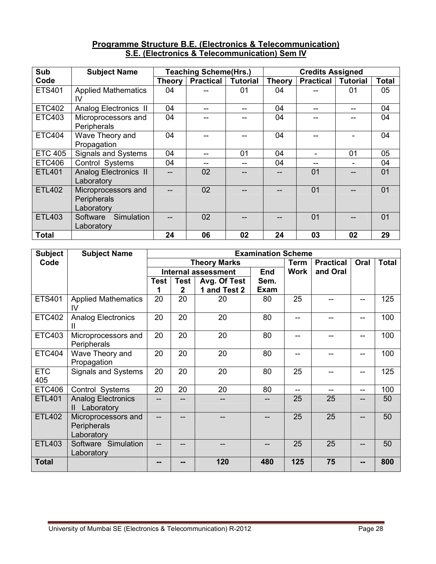# **Programme Structure B.E. (Electronics & Telecommunication) S.E. (Electronics & Telecommunication) Sem IV**

| Sub            | <b>Subject Name</b>                              |               | <b>Teaching Scheme(Hrs.)</b> |                 |               | <b>Credits Assigned</b> |                 |              |
|----------------|--------------------------------------------------|---------------|------------------------------|-----------------|---------------|-------------------------|-----------------|--------------|
| Code           |                                                  | <b>Theory</b> | <b>Practical</b>             | <b>Tutorial</b> | <b>Theory</b> | <b>Practical</b>        | <b>Tutorial</b> | <b>Total</b> |
| <b>ETS401</b>  | <b>Applied Mathematics</b><br>IV                 | 04            |                              | 01              | 04            |                         | 01              | 05           |
| <b>ETC402</b>  | Analog Electronics II                            | 04            | --                           | --              | 04            |                         | --              | 04           |
| <b>ETC403</b>  | Microprocessors and<br>Peripherals               | 04            |                              |                 | 04            |                         |                 | 04           |
| <b>ETC404</b>  | Wave Theory and<br>Propagation                   | 04            |                              |                 | 04            |                         |                 | 04           |
| <b>ETC 405</b> | Signals and Systems                              | 04            |                              | 01              | 04            |                         | 01              | 05           |
| <b>ETC406</b>  | Control Systems                                  | 04            |                              |                 | 04            |                         |                 | 04           |
| <b>ETL401</b>  | <b>Analog Electronics II</b><br>Laboratory       |               | 02                           |                 |               | 01                      |                 | 01           |
| <b>ETL402</b>  | Microprocessors and<br>Peripherals<br>Laboratory |               | 02                           |                 |               | 01                      |                 | 01           |
| ETL403         | Simulation<br>Software<br>Laboratory             |               | 02                           |                 |               | 01                      |                 | 01           |
| <b>Total</b>   |                                                  | 24            | 06                           | 02              | 24            | 03                      | 02              | 29           |

| <b>Subject</b>    | <b>Subject Name</b>                              |             | <b>Examination Scheme</b>   |                            |             |             |                  |      |              |  |  |  |
|-------------------|--------------------------------------------------|-------------|-----------------------------|----------------------------|-------------|-------------|------------------|------|--------------|--|--|--|
| Code              |                                                  |             |                             | <b>Theory Marks</b>        |             | <b>Term</b> | <b>Practical</b> | Oral | <b>Total</b> |  |  |  |
|                   |                                                  |             |                             | <b>Internal assessment</b> | <b>End</b>  | <b>Work</b> | and Oral         |      |              |  |  |  |
|                   |                                                  | <b>Test</b> | <b>Test</b><br>Avg. Of Test |                            | Sem.        |             |                  |      |              |  |  |  |
|                   |                                                  |             | $\mathbf{2}$                | 1 and Test 2               | <b>Exam</b> |             |                  |      |              |  |  |  |
| ETS401            | <b>Applied Mathematics</b><br>IV                 | 20          | 20                          | 20                         | 80          | 25          |                  |      | 125          |  |  |  |
| <b>ETC402</b>     | <b>Analog Electronics</b><br>Ш                   | 20          | 20                          | 20                         | 80          | --          |                  |      | 100          |  |  |  |
| <b>ETC403</b>     | Microprocessors and<br>Peripherals               | 20          | 20                          | 20                         | 80          |             |                  |      | 100          |  |  |  |
| <b>ETC404</b>     | Wave Theory and<br>Propagation                   | 20          | 20                          | 20                         | 80          | --          |                  |      | 100          |  |  |  |
| <b>ETC</b><br>405 | Signals and Systems                              | 20          | 20                          | 20                         | 80          | 25          |                  |      | 125          |  |  |  |
| <b>ETC406</b>     | Control Systems                                  | 20          | 20                          | 20                         | 80          |             | --               | --   | 100          |  |  |  |
| <b>ETL401</b>     | <b>Analog Electronics</b><br>Laboratory<br>Ш     |             |                             |                            |             | 25          | 25               |      | 50           |  |  |  |
| <b>ETL402</b>     | Microprocessors and<br>Peripherals<br>Laboratory |             |                             |                            |             | 25          | 25               |      | 50           |  |  |  |
| <b>ETL403</b>     | Software Simulation<br>Laboratory                |             |                             |                            |             | 25          | 25               |      | 50           |  |  |  |
| <b>Total</b>      |                                                  |             |                             | 120                        | 480         | 125         | 75               |      | 800          |  |  |  |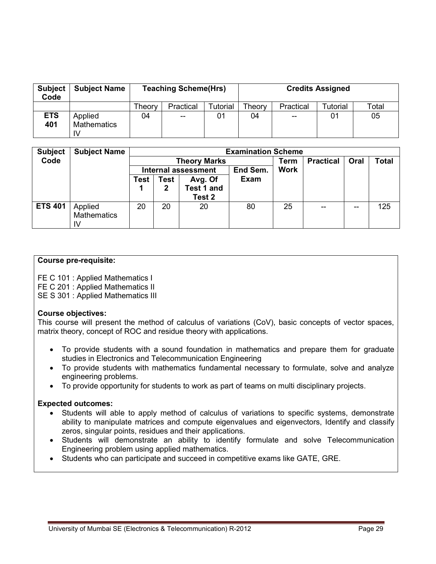| <b>Subject</b><br>Code | <b>Subject Name</b>                 |        | <b>Teaching Scheme(Hrs)</b> |          | <b>Credits Assigned</b> |           |          |       |
|------------------------|-------------------------------------|--------|-----------------------------|----------|-------------------------|-----------|----------|-------|
|                        |                                     | Theory | Practical                   | Tutorial | Theory                  | Practical | Tutorial | Total |
| <b>ETS</b><br>401      | Applied<br><b>Mathematics</b><br>IV | 04     | $-$                         | 01       | 04                      | $- -$     | 01       | 05    |

| <b>Subject</b> | <b>Subject Name</b>                 |      |             |                                 | <b>Examination Scheme</b> |             |                  |      |       |
|----------------|-------------------------------------|------|-------------|---------------------------------|---------------------------|-------------|------------------|------|-------|
| Code           |                                     |      |             | <b>Theory Marks</b>             |                           | Term        | <b>Practical</b> | Oral | Total |
|                |                                     |      |             | <b>Internal assessment</b>      | End Sem.                  | <b>Work</b> |                  |      |       |
|                |                                     | Test | <b>Test</b> | Avg. Of<br>Test 1 and<br>Test 2 | <b>Exam</b>               |             |                  |      |       |
| <b>ETS 401</b> | Applied<br><b>Mathematics</b><br>IV | 20   | 20          | 20                              | 80                        | 25          | --               | --   | 125   |

# **Course pre-requisite:**

FE C 101 : Applied Mathematics I

FE C 201 : Applied Mathematics II

SE S 301 : Applied Mathematics III

# **Course objectives:**

This course will present the method of calculus of variations (CoV), basic concepts of vector spaces, matrix theory, concept of ROC and residue theory with applications.

- To provide students with a sound foundation in mathematics and prepare them for graduate studies in Electronics and Telecommunication Engineering
- To provide students with mathematics fundamental necessary to formulate, solve and analyze engineering problems.
- To provide opportunity for students to work as part of teams on multi disciplinary projects.

# **Expected outcomes:**

- Students will able to apply method of calculus of variations to specific systems, demonstrate ability to manipulate matrices and compute eigenvalues and eigenvectors, Identify and classify zeros, singular points, residues and their applications.
- Students will demonstrate an ability to identify formulate and solve Telecommunication Engineering problem using applied mathematics.
- Students who can participate and succeed in competitive exams like GATE, GRE.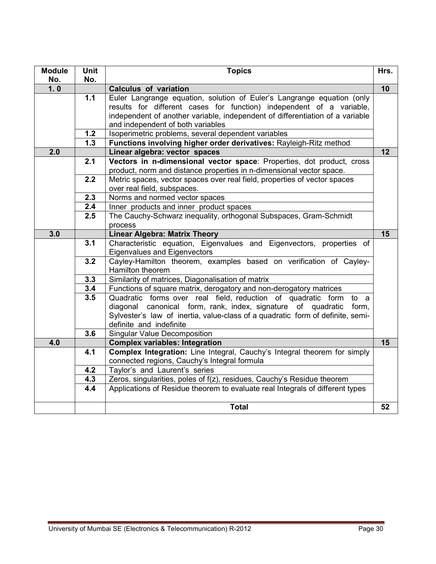| <b>Module</b><br>No. | <b>Unit</b><br>No. | <b>Topics</b>                                                                                                | Hrs.            |
|----------------------|--------------------|--------------------------------------------------------------------------------------------------------------|-----------------|
| 1.0                  |                    | <b>Calculus of variation</b>                                                                                 | 10              |
|                      | 1.1                | Euler Langrange equation, solution of Euler's Langrange equation (only                                       |                 |
|                      |                    | results for different cases for function) independent of a variable,                                         |                 |
|                      |                    | independent of another variable, independent of differentiation of a variable                                |                 |
|                      |                    | and independent of both variables                                                                            |                 |
|                      | 1.2                | Isoperimetric problems, several dependent variables                                                          |                 |
|                      | $\overline{1.3}$   | Functions involving higher order derivatives: Rayleigh-Ritz method                                           |                 |
| 2.0                  |                    | Linear algebra: vector spaces                                                                                | 12              |
|                      | 2.1                | Vectors in n-dimensional vector space: Properties, dot product, cross                                        |                 |
|                      |                    | product, norm and distance properties in n-dimensional vector space.                                         |                 |
|                      | 2.2                | Metric spaces, vector spaces over real field, properties of vector spaces                                    |                 |
|                      |                    | over real field, subspaces.                                                                                  |                 |
|                      | 2.3                | Norms and normed vector spaces                                                                               |                 |
|                      | 2.4                | Inner products and inner product spaces                                                                      |                 |
|                      | 2.5                | The Cauchy-Schwarz inequality, orthogonal Subspaces, Gram-Schmidt                                            |                 |
| 3.0                  |                    | process                                                                                                      | 15              |
|                      | 3.1                | <b>Linear Algebra: Matrix Theory</b><br>Characteristic equation, Eigenvalues and Eigenvectors, properties of |                 |
|                      |                    | <b>Eigenvalues and Eigenvectors</b>                                                                          |                 |
|                      | 3.2                | Cayley-Hamilton theorem, examples based on verification of Cayley-<br>Hamilton theorem                       |                 |
|                      | 3.3                | Similarity of matrices, Diagonalisation of matrix                                                            |                 |
|                      | 3.4                | Functions of square matrix, derogatory and non-derogatory matrices                                           |                 |
|                      | 3.5                | Quadratic forms over real field, reduction of quadratic form<br>to a                                         |                 |
|                      |                    | diagonal canonical form, rank, index, signature of quadratic<br>form,                                        |                 |
|                      |                    | Sylvester's law of inertia, value-class of a quadratic form of definite, semi-                               |                 |
|                      |                    | definite and indefinite                                                                                      |                 |
|                      | 3.6                | <b>Singular Value Decomposition</b>                                                                          |                 |
| $\overline{4.0}$     |                    | <b>Complex variables: Integration</b>                                                                        | $\overline{15}$ |
|                      | 4.1                | Complex Integration: Line Integral, Cauchy's Integral theorem for simply                                     |                 |
|                      |                    | connected regions, Cauchy's Integral formula                                                                 |                 |
|                      | 4.2                | Taylor's and Laurent's series                                                                                |                 |
|                      | 4.3                | Zeros, singularities, poles of f(z), residues, Cauchy's Residue theorem                                      |                 |
|                      | 4.4                | Applications of Residue theorem to evaluate real Integrals of different types                                |                 |
|                      |                    | <b>Total</b>                                                                                                 | 52              |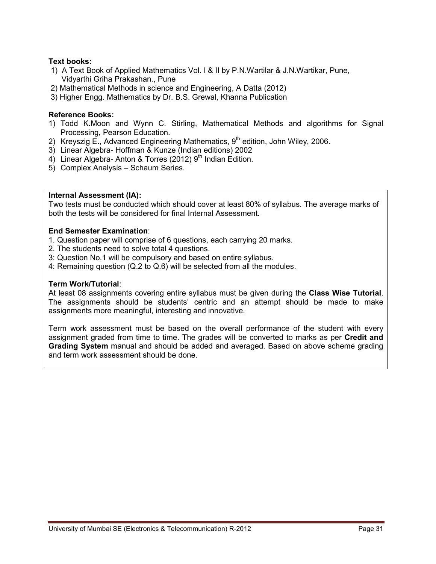# **Text books:**

- 1) A Text Book of Applied Mathematics Vol. I & II by P.N.Wartilar & J.N.Wartikar, Pune, Vidyarthi Griha Prakashan., Pune
- 2) Mathematical Methods in science and Engineering, A Datta (2012)
- 3) Higher Engg. Mathematics by Dr. B.S. Grewal, Khanna Publication

# **Reference Books:**

- 1) Todd K.Moon and Wynn C. Stirling, Mathematical Methods and algorithms for Signal Processing, Pearson Education.
- 2) Kreyszig E., Advanced Engineering Mathematics,  $9<sup>th</sup>$  edition, John Wiley, 2006.
- 3) Linear Algebra- Hoffman & Kunze (Indian editions) 2002
- 4) Linear Algebra- Anton & Torres (2012)  $9<sup>th</sup>$  Indian Edition.
- 5) Complex Analysis Schaum Series.

#### **Internal Assessment (IA):**

Two tests must be conducted which should cover at least 80% of syllabus. The average marks of both the tests will be considered for final Internal Assessment.

# **End Semester Examination**:

- 1. Question paper will comprise of 6 questions, each carrying 20 marks.
- 2. The students need to solve total 4 questions.
- 3: Question No.1 will be compulsory and based on entire syllabus.
- 4: Remaining question (Q.2 to Q.6) will be selected from all the modules.

#### **Term Work/Tutorial**:

At least 08 assignments covering entire syllabus must be given during the **Class Wise Tutorial**. The assignments should be students' centric and an attempt should be made to make assignments more meaningful, interesting and innovative.

Term work assessment must be based on the overall performance of the student with every assignment graded from time to time. The grades will be converted to marks as per **Credit and Grading System** manual and should be added and averaged. Based on above scheme grading and term work assessment should be done.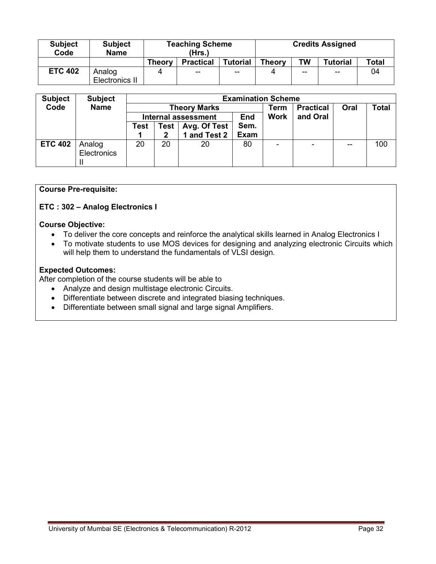| <b>Subject</b><br>Code | <b>Subject</b><br><b>Name</b> |               | <b>Teaching Scheme</b><br>(Hrs.) |                 | <b>Credits Assigned</b> |           |          |              |
|------------------------|-------------------------------|---------------|----------------------------------|-----------------|-------------------------|-----------|----------|--------------|
|                        |                               | <b>Theory</b> | <b>Practical</b>                 | <b>Tutorial</b> | <b>Theory</b>           | <b>TW</b> | Tutorial | <b>Total</b> |
| <b>ETC 402</b>         | Analog                        | Δ             | $- -$                            | $-$             |                         | $-$       | $-$      | 04           |
|                        | Electronics II                |               |                                  |                 |                         |           |          |              |

| <b>Subject</b> | <b>Subject</b> | <b>Examination Scheme</b> |      |                            |            |             |                          |      |              |  |  |
|----------------|----------------|---------------------------|------|----------------------------|------------|-------------|--------------------------|------|--------------|--|--|
| Code           | <b>Name</b>    |                           |      | <b>Theory Marks</b>        |            | Term        | <b>Practical</b>         | Oral | <b>Total</b> |  |  |
|                |                |                           |      | <b>Internal assessment</b> | <b>End</b> | <b>Work</b> | and Oral                 |      |              |  |  |
|                |                | Test                      | Test | Avg. Of Test               | Sem.       |             |                          |      |              |  |  |
|                |                |                           |      | 1 and Test 2               | Exam       |             |                          |      |              |  |  |
| <b>ETC 402</b> | Analog         | 20                        | 20   | 20                         | 80         |             | $\overline{\phantom{0}}$ | --   | 100          |  |  |
|                | Electronics    |                           |      |                            |            |             |                          |      |              |  |  |
|                |                |                           |      |                            |            |             |                          |      |              |  |  |

#### **Course Pre-requisite:**

**ETC : 302 – Analog Electronics I** 

#### **Course Objective:**

- To deliver the core concepts and reinforce the analytical skills learned in Analog Electronics I
- To motivate students to use MOS devices for designing and analyzing electronic Circuits which will help them to understand the fundamentals of VLSI design.

# **Expected Outcomes:**

After completion of the course students will be able to

- Analyze and design multistage electronic Circuits.
- Differentiate between discrete and integrated biasing techniques.
- Differentiate between small signal and large signal Amplifiers.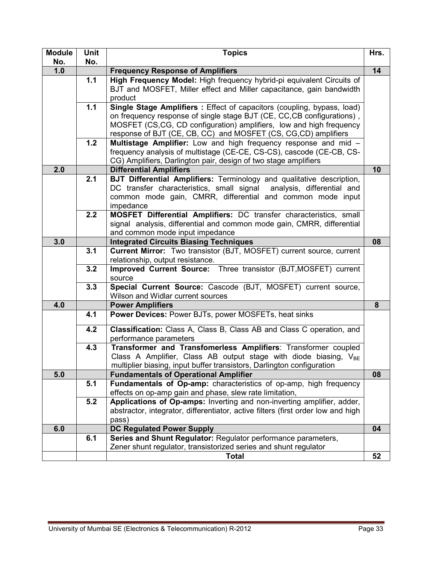| <b>Module</b> | Unit | <b>Topics</b>                                                                                                                | Hrs. |
|---------------|------|------------------------------------------------------------------------------------------------------------------------------|------|
| No.           | No.  |                                                                                                                              |      |
| 1.0           |      | <b>Frequency Response of Amplifiers</b>                                                                                      | 14   |
|               | 1.1  | High Frequency Model: High frequency hybrid-pi equivalent Circuits of                                                        |      |
|               |      | BJT and MOSFET, Miller effect and Miller capacitance, gain bandwidth<br>product                                              |      |
|               | 1.1  | Single Stage Amplifiers: Effect of capacitors (coupling, bypass, load)                                                       |      |
|               |      | on frequency response of single stage BJT (CE, CC, CB configurations),                                                       |      |
|               |      | MOSFET (CS,CG, CD configuration) amplifiers, low and high frequency                                                          |      |
|               |      | response of BJT (CE, CB, CC) and MOSFET (CS, CG, CD) amplifiers                                                              |      |
|               | 1.2  | Multistage Amplifier: Low and high frequency response and mid -                                                              |      |
|               |      | frequency analysis of multistage (CE-CE, CS-CS), cascode (CE-CB, CS-                                                         |      |
|               |      | CG) Amplifiers, Darlington pair, design of two stage amplifiers                                                              |      |
| 2.0           |      | <b>Differential Amplifiers</b>                                                                                               | 10   |
|               | 2.1  | <b>BJT Differential Amplifiers: Terminology and qualitative description,</b>                                                 |      |
|               |      | DC transfer characteristics, small signal analysis, differential and                                                         |      |
|               |      | common mode gain, CMRR, differential and common mode input                                                                   |      |
|               | 2.2  | impedance<br>MOSFET Differential Amplifiers: DC transfer characteristics, small                                              |      |
|               |      | signal analysis, differential and common mode gain, CMRR, differential                                                       |      |
|               |      | and common mode input impedance                                                                                              |      |
| 3.0           |      | <b>Integrated Circuits Biasing Techniques</b>                                                                                | 08   |
|               | 3.1  | Current Mirror: Two transistor (BJT, MOSFET) current source, current                                                         |      |
|               |      | relationship, output resistance.                                                                                             |      |
|               | 3.2  | Improved Current Source: Three transistor (BJT, MOSFET) current                                                              |      |
|               |      | source                                                                                                                       |      |
|               | 3.3  | Special Current Source: Cascode (BJT, MOSFET) current source,                                                                |      |
|               |      | Wilson and Widlar current sources                                                                                            |      |
| 4.0           |      | <b>Power Amplifiers</b>                                                                                                      | 8    |
|               | 4.1  | Power Devices: Power BJTs, power MOSFETs, heat sinks                                                                         |      |
|               | 4.2  | Classification: Class A, Class B, Class AB and Class C operation, and                                                        |      |
|               |      | performance parameters                                                                                                       |      |
|               | 4.3  | Transformer and Transfomerless Amplifiers: Transformer coupled                                                               |      |
|               |      | Class A Amplifier, Class AB output stage with diode biasing, $V_{BE}$                                                        |      |
|               |      | multiplier biasing, input buffer transistors, Darlington configuration                                                       |      |
| 5.0           |      | <b>Fundamentals of Operational Amplifier</b>                                                                                 | 08   |
|               | 5.1  | Fundamentals of Op-amp: characteristics of op-amp, high frequency<br>effects on op-amp gain and phase, slew rate limitation, |      |
|               | 5.2  | Applications of Op-amps: Inverting and non-inverting amplifier, adder,                                                       |      |
|               |      | abstractor, integrator, differentiator, active filters (first order low and high                                             |      |
|               |      | pass)                                                                                                                        |      |
| 6.0           |      | <b>DC Regulated Power Supply</b>                                                                                             | 04   |
|               | 6.1  | Series and Shunt Regulator: Regulator performance parameters,                                                                |      |
|               |      | Zener shunt regulator, transistorized series and shunt regulator                                                             |      |
|               |      | <b>Total</b>                                                                                                                 | 52   |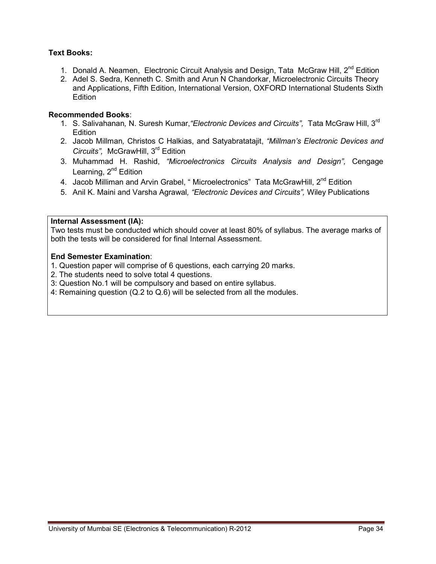# **Text Books:**

- 1. Donald A. Neamen, Electronic Circuit Analysis and Design, Tata McGraw Hill, 2<sup>nd</sup> Edition
- 2. Adel S. Sedra, Kenneth C. Smith and Arun N Chandorkar, Microelectronic Circuits Theory and Applications, Fifth Edition, International Version, OXFORD International Students Sixth **Edition**

# **Recommended Books**:

- 1. S. Salivahanan*,* N. Suresh Kumar,*"Electronic Devices and Circuits",* Tata McGraw Hill, 3rd **Edition**
- 2. Jacob Millman*,* Christos C Halkias, and Satyabratatajit, *"Millman's Electronic Devices and Circuits",* McGrawHill, 3rd Edition
- 3. Muhammad H. Rashid, *"Microelectronics Circuits Analysis and Design",* Cengage Learning,  $2^{nd}$  Edition
- 4. Jacob Milliman and Arvin Grabel, " Microelectronics" Tata McGrawHill, 2<sup>nd</sup> Edition
- 5. Anil K. Maini and Varsha Agrawal*, "Electronic Devices and Circuits",* Wiley Publications

#### **Internal Assessment (IA):**

 Two tests must be conducted which should cover at least 80% of syllabus. The average marks of both the tests will be considered for final Internal Assessment.

- 1. Question paper will comprise of 6 questions, each carrying 20 marks.
- 2. The students need to solve total 4 questions.
- 3: Question No.1 will be compulsory and based on entire syllabus.
- 4: Remaining question (Q.2 to Q.6) will be selected from all the modules.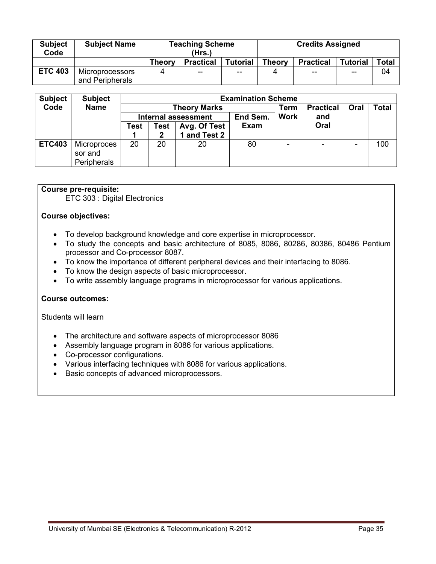| <b>Subject</b><br>Code | <b>Subject Name</b>                |               | <b>Teaching Scheme</b><br>(Hrs.) |                 | <b>Credits Assigned</b> |                  |                 |       |  |
|------------------------|------------------------------------|---------------|----------------------------------|-----------------|-------------------------|------------------|-----------------|-------|--|
|                        |                                    | <b>Theory</b> | <b>Practical</b>                 | <b>Tutorial</b> | <b>Theory</b>           | <b>Practical</b> | <b>Tutorial</b> | Total |  |
| <b>ETC 403</b>         | Microprocessors<br>and Peripherals | 4             | --                               | $- -$           |                         | $- -$            | $- -$           | 04    |  |

| <b>Subject</b> | <b>Subject</b> |      |             | <b>Examination Scheme</b> |             |                  |      |              |     |
|----------------|----------------|------|-------------|---------------------------|-------------|------------------|------|--------------|-----|
| Code           | <b>Name</b>    |      |             | <b>Theory Marks</b>       | Term        | <b>Practical</b> | Oral | <b>Total</b> |     |
|                |                |      |             | Internal assessment       | End Sem.    | <b>Work</b>      | and  |              |     |
|                |                | Test | <b>Test</b> | Avg. Of Test              | <b>Exam</b> |                  | Oral |              |     |
|                |                |      | 2           | 1 and Test 2              |             |                  |      |              |     |
| <b>ETC403</b>  | Microproces    | 20   | 20          | 20                        | 80          |                  | -    |              | 100 |
|                | sor and        |      |             |                           |             |                  |      |              |     |
|                | Peripherals    |      |             |                           |             |                  |      |              |     |

#### **Course pre-requisite:**

ETC 303 : Digital Electronics

#### **Course objectives:**

- To develop background knowledge and core expertise in microprocessor.
- To study the concepts and basic architecture of 8085, 8086, 80286, 80386, 80486 Pentium processor and Co-processor 8087.
- To know the importance of different peripheral devices and their interfacing to 8086.
- To know the design aspects of basic microprocessor.
- To write assembly language programs in microprocessor for various applications.

#### **Course outcomes:**

Students will learn

- The architecture and software aspects of microprocessor 8086
- Assembly language program in 8086 for various applications.
- Co-processor configurations.
- Various interfacing techniques with 8086 for various applications.
- Basic concepts of advanced microprocessors.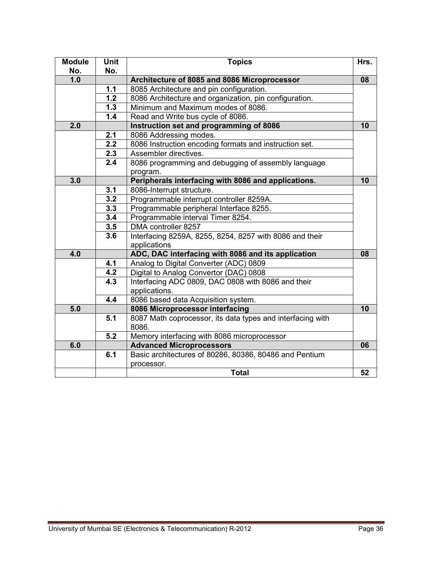| <b>Module</b> | <b>Unit</b> | <b>Topics</b>                                              | Hrs. |
|---------------|-------------|------------------------------------------------------------|------|
| No.           | No.         |                                                            |      |
| 1.0           |             | Architecture of 8085 and 8086 Microprocessor               | 08   |
|               | 1.1         | 8085 Architecture and pin configuration.                   |      |
|               | 1.2         | 8086 Architecture and organization, pin configuration.     |      |
|               | 1.3         | Minimum and Maximum modes of 8086.                         |      |
|               | 1.4         | Read and Write bus cycle of 8086.                          |      |
| 2.0           |             | Instruction set and programming of 8086                    | 10   |
|               | 2.1         | 8086 Addressing modes.                                     |      |
|               | 2.2         | 8086 Instruction encoding formats and instruction set.     |      |
|               | 2.3         | Assembler directives.                                      |      |
|               | 2.4         | 8086 programming and debugging of assembly language        |      |
|               |             | program.                                                   |      |
| 3.0           |             | Peripherals interfacing with 8086 and applications.        | 10   |
|               | 3.1         | 8086-Interrupt structure.                                  |      |
|               | 3.2         | Programmable interrupt controller 8259A.                   |      |
|               | 3.3         | Programmable peripheral Interface 8255.                    |      |
|               | 3.4         | Programmable interval Timer 8254.                          |      |
|               | 3.5         | DMA controller 8257                                        |      |
|               | 3.6         | Interfacing 8259A, 8255, 8254, 8257 with 8086 and their    |      |
|               |             | applications                                               |      |
| 4.0           |             | ADC, DAC interfacing with 8086 and its application         | 08   |
|               | 4.1         | Analog to Digital Converter (ADC) 0809                     |      |
|               | 4.2         | Digital to Analog Convertor (DAC) 0808                     |      |
|               | 4.3         | Interfacing ADC 0809, DAC 0808 with 8086 and their         |      |
|               |             | applications.                                              |      |
|               | 4.4         | 8086 based data Acquisition system.                        |      |
| 5.0           |             | 8086 Microprocessor interfacing                            | 10   |
|               | 5.1         | 8087 Math coprocessor, its data types and interfacing with |      |
|               |             | 8086.                                                      |      |
|               | 5.2         | Memory interfacing with 8086 microprocessor                |      |
| 6.0           |             | <b>Advanced Microprocessors</b>                            | 06   |
|               | 6.1         | Basic architectures of 80286, 80386, 80486 and Pentium     |      |
|               |             | processor.                                                 |      |
|               |             | <b>Total</b>                                               | 52   |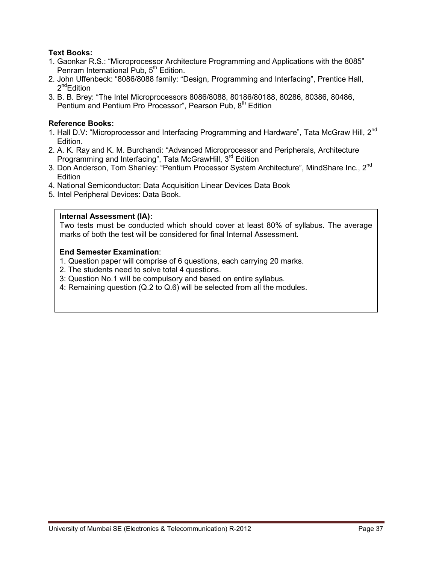# **Text Books:**

- 1. Gaonkar R.S.: "Microprocessor Architecture Programming and Applications with the 8085" Penram International Pub,  $5<sup>th</sup>$  Edition.
- 2. John Uffenbeck: "8086/8088 family: "Design, Programming and Interfacing", Prentice Hall,  $2^{nd}$ Edition
- 3. B. B. Brey: "The Intel Microprocessors 8086/8088, 80186/80188, 80286, 80386, 80486, Pentium and Pentium Pro Processor", Pearson Pub, 8<sup>th</sup> Edition

# **Reference Books:**

- 1. Hall D.V: "Microprocessor and Interfacing Programming and Hardware", Tata McGraw Hill, 2<sup>nd</sup> Edition.
- 2. A. K. Ray and K. M. Burchandi: "Advanced Microprocessor and Peripherals, Architecture Programming and Interfacing", Tata McGrawHill, 3<sup>rd</sup> Edition
- 3. Don Anderson, Tom Shanley: "Pentium Processor System Architecture", MindShare Inc., 2<sup>nd</sup> **Edition**
- 4. National Semiconductor: Data Acquisition Linear Devices Data Book
- 5. Intel Peripheral Devices: Data Book.

# **Internal Assessment (IA):**

Two tests must be conducted which should cover at least 80% of syllabus. The average marks of both the test will be considered for final Internal Assessment.

- 1. Question paper will comprise of 6 questions, each carrying 20 marks.
- 2. The students need to solve total 4 questions.
- 3: Question No.1 will be compulsory and based on entire syllabus.
- 4: Remaining question (Q.2 to Q.6) will be selected from all the modules.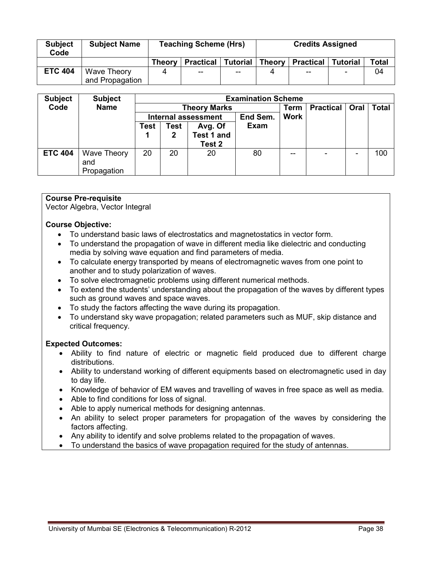| <b>Subject</b><br>Code | <b>Subject Name</b>            | <b>Teaching Scheme (Hrs)</b> |                  |          | <b>Credits Assigned</b> |                  |                          |       |
|------------------------|--------------------------------|------------------------------|------------------|----------|-------------------------|------------------|--------------------------|-------|
|                        |                                | <b>Theory</b>                | <b>Practical</b> | Tutorial | Theory                  | <b>Practical</b> | <b>Tutorial</b>          | Total |
| <b>ETC 404</b>         | Wave Theory<br>and Propagation | 4                            | $- -$            | $-$      |                         | $- -$            | $\overline{\phantom{0}}$ | 04    |

| <b>Subject</b> | <b>Subject</b>            | <b>Examination Scheme</b> |                                        |                   |             |             |                          |      |              |  |  |
|----------------|---------------------------|---------------------------|----------------------------------------|-------------------|-------------|-------------|--------------------------|------|--------------|--|--|
| Code           | <b>Name</b>               |                           | <b>Theory Marks</b>                    |                   |             |             | <b>Practical</b>         | Oral | <b>Total</b> |  |  |
|                |                           |                           | End Sem.<br><b>Internal assessment</b> |                   |             | <b>Work</b> |                          |      |              |  |  |
|                |                           | Test                      | Test                                   | Avg. Of           | <b>Exam</b> |             |                          |      |              |  |  |
|                |                           |                           | 2                                      | <b>Test 1 and</b> |             |             |                          |      |              |  |  |
|                |                           |                           |                                        | Test 2            |             |             |                          |      |              |  |  |
| <b>ETC 404</b> | <b>Wave Theory</b><br>and | 20                        | 20                                     | 20                | 80          | --          | $\overline{\phantom{0}}$ |      | 100          |  |  |
|                | Propagation               |                           |                                        |                   |             |             |                          |      |              |  |  |

# **Course Pre-requisite**

Vector Algebra, Vector Integral

#### **Course Objective:**

- To understand basic laws of electrostatics and magnetostatics in vector form.
- To understand the propagation of wave in different media like dielectric and conducting media by solving wave equation and find parameters of media.
- To calculate energy transported by means of electromagnetic waves from one point to another and to study polarization of waves.
- To solve electromagnetic problems using different numerical methods.
- To extend the students' understanding about the propagation of the waves by different types such as ground waves and space waves.
- To study the factors affecting the wave during its propagation.
- To understand sky wave propagation; related parameters such as MUF, skip distance and critical frequency.

#### **Expected Outcomes:**

- Ability to find nature of electric or magnetic field produced due to different charge distributions.
- Ability to understand working of different equipments based on electromagnetic used in day to day life.
- Knowledge of behavior of EM waves and travelling of waves in free space as well as media.
- Able to find conditions for loss of signal.
- Able to apply numerical methods for designing antennas.
- An ability to select proper parameters for propagation of the waves by considering the factors affecting.
- Any ability to identify and solve problems related to the propagation of waves.
- To understand the basics of wave propagation required for the study of antennas.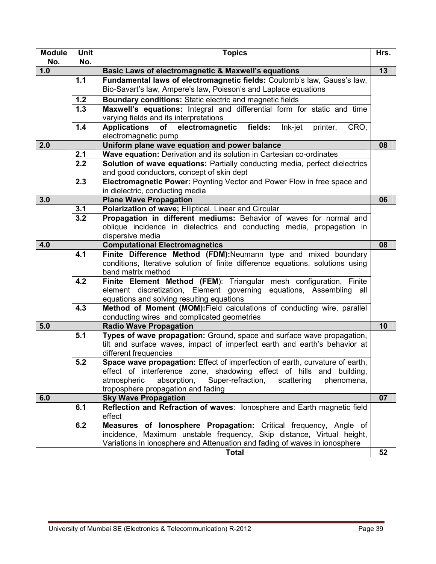| <b>Module</b><br>No. | Unit<br>No. | <b>Topics</b>                                                                                                        | Hrs. |
|----------------------|-------------|----------------------------------------------------------------------------------------------------------------------|------|
| 1.0                  |             | Basic Laws of electromagnetic & Maxwell's equations                                                                  | 13   |
|                      | 1.1         | Fundamental laws of electromagnetic fields: Coulomb's law, Gauss's law,                                              |      |
|                      |             | Bio-Savart's law, Ampere's law, Poisson's and Laplace equations                                                      |      |
|                      | 1.2         | Boundary conditions: Static electric and magnetic fields                                                             |      |
|                      | 1.3         | Maxwell's equations: Integral and differential form for static and time                                              |      |
|                      |             | varying fields and its interpretations                                                                               |      |
|                      | 1.4         | fields:<br>Applications of electromagnetic<br>Ink-jet<br>printer,<br>CRO,                                            |      |
|                      |             | electromagnetic pump                                                                                                 |      |
| 2.0                  |             | Uniform plane wave equation and power balance                                                                        | 08   |
|                      | 2.1         | Wave equation: Derivation and its solution in Cartesian co-ordinates                                                 |      |
|                      | 2.2         | Solution of wave equations: Partially conducting media, perfect dielectrics                                          |      |
|                      |             | and good conductors, concept of skin dept                                                                            |      |
|                      | 2.3         | Electromagnetic Power: Poynting Vector and Power Flow in free space and                                              |      |
|                      |             | in dielectric, conducting media                                                                                      |      |
| 3.0                  |             | <b>Plane Wave Propagation</b>                                                                                        | 06   |
|                      | 3.1         | Polarization of wave; Elliptical. Linear and Circular                                                                |      |
|                      | 3.2         | Propagation in different mediums: Behavior of waves for normal and                                                   |      |
|                      |             | oblique incidence in dielectrics and conducting media, propagation in                                                |      |
|                      |             | dispersive media                                                                                                     |      |
| 4.0                  |             | <b>Computational Electromagnetics</b>                                                                                | 08   |
|                      | 4.1         | Finite Difference Method (FDM): Neumann type and mixed boundary                                                      |      |
|                      |             | conditions, Iterative solution of finite difference equations, solutions using                                       |      |
|                      |             | band matrix method                                                                                                   |      |
|                      | 4.2         | Finite Element Method (FEM): Triangular mesh configuration, Finite                                                   |      |
|                      |             | element discretization, Element governing equations, Assembling all                                                  |      |
|                      | 4.3         | equations and solving resulting equations<br>Method of Moment (MOM): Field calculations of conducting wire, parallel |      |
|                      |             | conducting wires and complicated geometries                                                                          |      |
| 5.0                  |             | <b>Radio Wave Propagation</b>                                                                                        | 10   |
|                      | 5.1         | Types of wave propagation: Ground, space and surface wave propagation,                                               |      |
|                      |             | tilt and surface waves, impact of imperfect earth and earth's behavior at                                            |      |
|                      |             | different frequencies                                                                                                |      |
|                      | 5.2         | Space wave propagation: Effect of imperfection of earth, curvature of earth,                                         |      |
|                      |             | effect of interference zone, shadowing effect of hills and building,                                                 |      |
|                      |             | absorption,<br>Super-refraction,<br>atmospheric<br>scattering<br>phenomena,                                          |      |
|                      |             | troposphere propagation and fading                                                                                   |      |
| 6.0                  |             | <b>Sky Wave Propagation</b>                                                                                          | 07   |
|                      | 6.1         | Reflection and Refraction of waves: lonosphere and Earth magnetic field                                              |      |
|                      |             | effect                                                                                                               |      |
|                      | 6.2         | Measures of lonosphere Propagation: Critical frequency, Angle of                                                     |      |
|                      |             | incidence, Maximum unstable frequency, Skip distance, Virtual height,                                                |      |
|                      |             | Variations in ionosphere and Attenuation and fading of waves in ionosphere                                           |      |
|                      |             | <b>Total</b>                                                                                                         | 52   |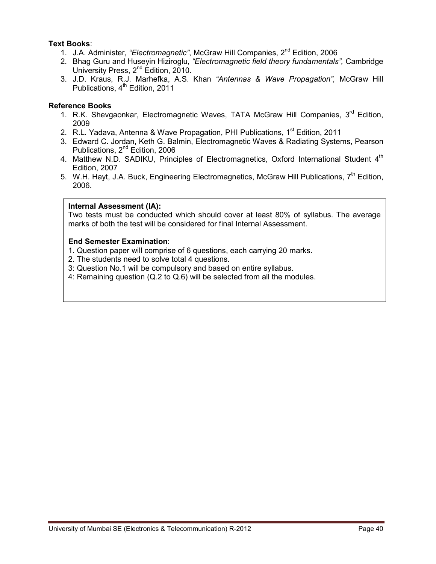# **Text Books**:

- 1. J.A. Administer, *"Electromagnetic"*, McGraw Hill Companies, 2nd Edition, 2006
- 2. Bhag Guru and Huseyin Hiziroglu, *"Electromagnetic field theory fundamentals",* Cambridge University Press, 2<sup>nd</sup> Edition, 2010.
- 3. J.D. Kraus, R.J. Marhefka, A.S. Khan *"Antennas & Wave Propagation",* McGraw Hill Publications,  $4<sup>th</sup>$  Edition, 2011

# **Reference Books**

- 1. R.K. Shevgaonkar, Electromagnetic Waves, TATA McGraw Hill Companies, 3<sup>rd</sup> Edition, 2009
- 2. R.L. Yadava, Antenna & Wave Propagation, PHI Publications, 1<sup>st</sup> Edition, 2011
- 3. Edward C. Jordan, Keth G. Balmin, Electromagnetic Waves & Radiating Systems, Pearson Publications, 2nd Edition, 2006
- 4. Matthew N.D. SADIKU, Principles of Electromagnetics, Oxford International Student 4<sup>th</sup> Edition, 2007
- 5. W.H. Hayt, J.A. Buck, Engineering Electromagnetics, McGraw Hill Publications,  $7<sup>th</sup>$  Edition, 2006.

# **Internal Assessment (IA):**

Two tests must be conducted which should cover at least 80% of syllabus. The average marks of both the test will be considered for final Internal Assessment.

- 1. Question paper will comprise of 6 questions, each carrying 20 marks.
- 2. The students need to solve total 4 questions.
- 3: Question No.1 will be compulsory and based on entire syllabus.
- 4: Remaining question (Q.2 to Q.6) will be selected from all the modules.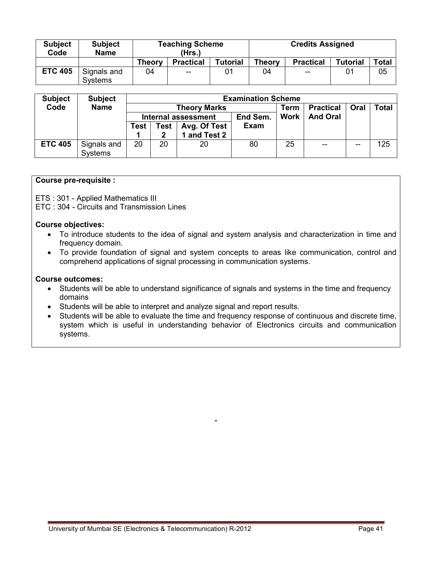| <b>Subject</b><br>Code | <b>Subject</b><br><b>Name</b> |               | <b>Teaching Scheme</b><br>(Hrs.) |                 | <b>Credits Assigned</b> |                                       |                 |       |
|------------------------|-------------------------------|---------------|----------------------------------|-----------------|-------------------------|---------------------------------------|-----------------|-------|
|                        |                               | <b>Theory</b> | <b>Practical</b>                 | <b>Tutorial</b> | <b>Theory</b>           | <b>Practical</b>                      | <b>Tutorial</b> | Total |
| <b>ETC 405</b>         | Signals and<br><b>Systems</b> | 04            | $- -$                            | 01              | 04                      | $\hspace{0.05cm}$ – $\hspace{0.05cm}$ | 01              | 05    |

| <b>Subject</b> | <b>Subject</b>         |             |      |                            | <b>Examination Scheme</b> |             |                  |       |              |  |
|----------------|------------------------|-------------|------|----------------------------|---------------------------|-------------|------------------|-------|--------------|--|
| Code           | <b>Name</b>            |             |      | <b>Theory Marks</b>        |                           | Term        | <b>Practical</b> | Oral  | <b>Total</b> |  |
|                |                        |             |      | <b>Internal assessment</b> | End Sem.                  | <b>Work</b> | <b>And Oral</b>  |       |              |  |
|                |                        | <b>Test</b> | Test | Avg. Of Test               | Exam                      |             |                  |       |              |  |
|                |                        |             | 2    | and Test 2                 |                           |             |                  |       |              |  |
| <b>ETC 405</b> | Signals and<br>Systems | 20          | 20   | 20                         | 80                        | 25          | $- -$            | $- -$ | 125          |  |

# **Course pre-requisite :**

ETS : 301 - Applied Mathematics III

ETC : 304 - Circuits and Transmission Lines

#### **Course objectives:**

- To introduce students to the idea of signal and system analysis and characterization in time and frequency domain.
- To provide foundation of signal and system concepts to areas like communication, control and comprehend applications of signal processing in communication systems.

#### **Course outcomes:**

- Students will be able to understand significance of signals and systems in the time and frequency domains
- Students will be able to interpret and analyze signal and report results.
- Students will be able to evaluate the time and frequency response of continuous and discrete time, system which is useful in understanding behavior of Electronics circuits and communication systems.

 $\alpha$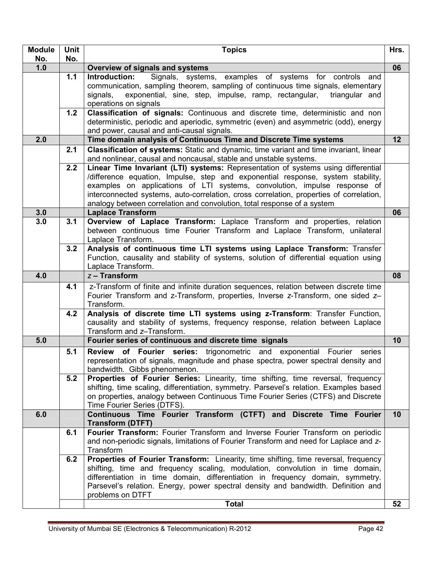| <b>Module</b> | <b>Unit</b> | <b>Topics</b>                                                                                                                                                                                                                                                                                                                                                                                                           | Hrs. |
|---------------|-------------|-------------------------------------------------------------------------------------------------------------------------------------------------------------------------------------------------------------------------------------------------------------------------------------------------------------------------------------------------------------------------------------------------------------------------|------|
| No.           | No.         |                                                                                                                                                                                                                                                                                                                                                                                                                         |      |
| 1.0           |             | Overview of signals and systems                                                                                                                                                                                                                                                                                                                                                                                         | 06   |
|               | 1.1         | Signals, systems, examples of systems for controls and<br>Introduction:<br>communication, sampling theorem, sampling of continuous time signals, elementary<br>exponential, sine, step, impulse, ramp, rectangular,<br>signals,<br>triangular and<br>operations on signals                                                                                                                                              |      |
|               | 1.2         | Classification of signals: Continuous and discrete time, deterministic and non<br>deterministic, periodic and aperiodic, symmetric (even) and asymmetric (odd), energy                                                                                                                                                                                                                                                  |      |
| 2.0           |             | and power, causal and anti-causal signals.<br>Time domain analysis of Continuous Time and Discrete Time systems                                                                                                                                                                                                                                                                                                         | 12   |
|               | 2.1         | Classification of systems: Static and dynamic, time variant and time invariant, linear                                                                                                                                                                                                                                                                                                                                  |      |
|               |             | and nonlinear, causal and noncausal, stable and unstable systems.                                                                                                                                                                                                                                                                                                                                                       |      |
|               | 2.2         | Linear Time Invariant (LTI) systems: Representation of systems using differential<br>/difference equation, Impulse, step and exponential response, system stability,<br>examples on applications of LTI systems, convolution, impulse response of<br>interconnected systems, auto-correlation, cross correlation, properties of correlation,<br>analogy between correlation and convolution, total response of a system |      |
| 3.0           |             | <b>Laplace Transform</b>                                                                                                                                                                                                                                                                                                                                                                                                | 06   |
| 3.0           | 3.1         | Overview of Laplace Transform: Laplace Transform and properties, relation<br>between continuous time Fourier Transform and Laplace Transform, unilateral<br>Laplace Transform.                                                                                                                                                                                                                                          |      |
|               | 3.2         | Analysis of continuous time LTI systems using Laplace Transform: Transfer<br>Function, causality and stability of systems, solution of differential equation using<br>Laplace Transform.                                                                                                                                                                                                                                |      |
| 4.0           |             | $z$ – Transform                                                                                                                                                                                                                                                                                                                                                                                                         | 08   |
|               | 4.1         | z-Transform of finite and infinite duration sequences, relation between discrete time<br>Fourier Transform and z-Transform, properties, Inverse z-Transform, one sided z-<br>Transform.                                                                                                                                                                                                                                 |      |
|               | 4.2         | Analysis of discrete time LTI systems using z-Transform: Transfer Function,<br>causality and stability of systems, frequency response, relation between Laplace<br>Transform and z-Transform.                                                                                                                                                                                                                           |      |
| 5.0           |             | Fourier series of continuous and discrete time signals                                                                                                                                                                                                                                                                                                                                                                  | 10   |
|               | 5.1         | of Fourier series: trigonometric and exponential Fourier<br><b>Review</b><br>series<br>representation of signals, magnitude and phase spectra, power spectral density and<br>bandwidth. Gibbs phenomenon.                                                                                                                                                                                                               |      |
|               | 5.2         | <b>Properties of Fourier Series:</b> Linearity, time shifting, time reversal, frequency<br>shifting, time scaling, differentiation, symmetry. Parsevel's relation. Examples based<br>on properties, analogy between Continuous Time Fourier Series (CTFS) and Discrete<br>Time Fourier Series (DTFS).                                                                                                                   |      |
| 6.0           |             | Continuous Time Fourier Transform (CTFT) and Discrete Time Fourier<br><b>Transform (DTFT)</b>                                                                                                                                                                                                                                                                                                                           | 10   |
|               | 6.1         | Fourier Transform: Fourier Transform and Inverse Fourier Transform on periodic<br>and non-periodic signals, limitations of Fourier Transform and need for Laplace and z-<br>Transform                                                                                                                                                                                                                                   |      |
|               | 6.2         | Properties of Fourier Transform: Linearity, time shifting, time reversal, frequency<br>shifting, time and frequency scaling, modulation, convolution in time domain,<br>differentiation in time domain, differentiation in frequency domain, symmetry.<br>Parsevel's relation. Energy, power spectral density and bandwidth. Definition and<br>problems on DTFT<br><b>Total</b>                                         | 52   |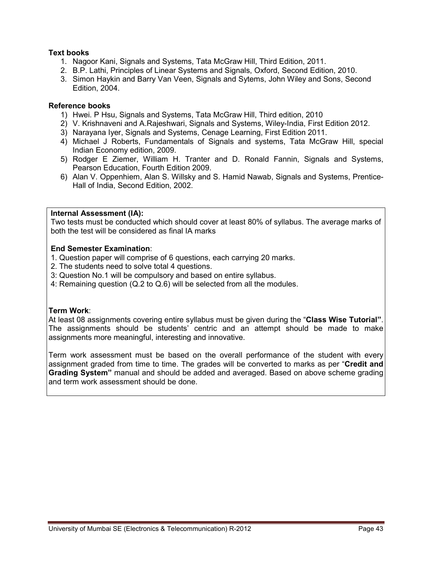# **Text books**

- 1. Nagoor Kani, Signals and Systems, Tata McGraw Hill, Third Edition, 2011.
- 2. B.P. Lathi, Principles of Linear Systems and Signals, Oxford, Second Edition, 2010.
- 3. Simon Haykin and Barry Van Veen, Signals and Sytems, John Wiley and Sons, Second Edition, 2004.

# **Reference books**

- 1) Hwei. P Hsu, Signals and Systems, Tata McGraw Hill, Third edition, 2010
- 2) V. Krishnaveni and A.Rajeshwari, Signals and Systems, Wiley-India, First Edition 2012.
- 3) Narayana Iyer, Signals and Systems, Cenage Learning, First Edition 2011.
- 4) Michael J Roberts, Fundamentals of Signals and systems, Tata McGraw Hill, special Indian Economy edition, 2009.
- 5) Rodger E Ziemer, William H. Tranter and D. Ronald Fannin, Signals and Systems, Pearson Education, Fourth Edition 2009.
- 6) Alan V. Oppenhiem, Alan S. Willsky and S. Hamid Nawab, Signals and Systems, Prentice-Hall of India, Second Edition, 2002.

# **Internal Assessment (IA):**

 Two tests must be conducted which should cover at least 80% of syllabus. The average marks of both the test will be considered as final IA marks

# **End Semester Examination**:

- 1. Question paper will comprise of 6 questions, each carrying 20 marks.
- 2. The students need to solve total 4 questions.
- 3: Question No.1 will be compulsory and based on entire syllabus.
- 4: Remaining question (Q.2 to Q.6) will be selected from all the modules.

# **Term Work**:

At least 08 assignments covering entire syllabus must be given during the "**Class Wise Tutorial"**. The assignments should be students' centric and an attempt should be made to make assignments more meaningful, interesting and innovative.

Term work assessment must be based on the overall performance of the student with every assignment graded from time to time. The grades will be converted to marks as per "**Credit and Grading System"** manual and should be added and averaged. Based on above scheme grading and term work assessment should be done.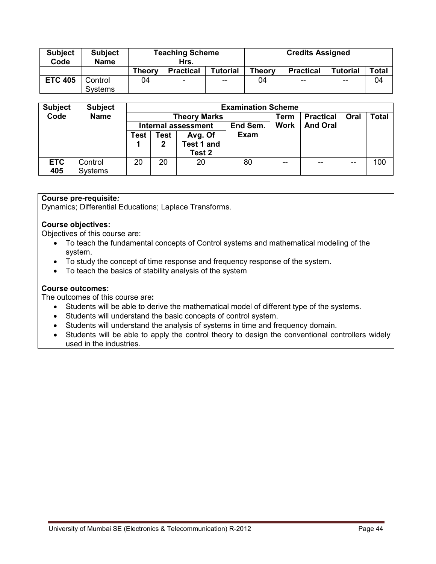| <b>Subject</b><br>Code | <b>Subject</b><br><b>Name</b> |               | <b>Teaching Scheme</b><br>Hrs. |                 | <b>Credits Assigned</b> |                  |                 |       |  |
|------------------------|-------------------------------|---------------|--------------------------------|-----------------|-------------------------|------------------|-----------------|-------|--|
|                        |                               | <b>Theory</b> | <b>Practical</b>               | <b>Tutorial</b> | Theory                  | <b>Practical</b> | <b>Tutorial</b> | Total |  |
| <b>ETC 405</b>         | Control<br>Systems            | 04            | $\overline{\phantom{a}}$       | $- -$           | 04                      | $- -$            | $-$             | 04    |  |

| <b>Subject</b> | <b>Subject</b> | <b>Examination Scheme</b> |                                        |                   |             |             |                  |      |              |  |  |
|----------------|----------------|---------------------------|----------------------------------------|-------------------|-------------|-------------|------------------|------|--------------|--|--|
| Code           | <b>Name</b>    |                           | <b>Theory Marks</b>                    |                   |             |             | <b>Practical</b> | Oral | <b>Total</b> |  |  |
|                |                |                           | End Sem.<br><b>Internal assessment</b> |                   |             | <b>Work</b> | <b>And Oral</b>  |      |              |  |  |
|                |                | Test                      | Test                                   | Avg. Of           | <b>Exam</b> |             |                  |      |              |  |  |
|                |                |                           | 2                                      | <b>Test 1 and</b> |             |             |                  |      |              |  |  |
|                |                |                           |                                        | Test 2            |             |             |                  |      |              |  |  |
| <b>ETC</b>     | Control        | 20                        | 20                                     | 20                | 80          | $- -$       | --               | --   | 100          |  |  |
| 405            | Systems        |                           |                                        |                   |             |             |                  |      |              |  |  |

# **Course pre-requisite***:*

Dynamics; Differential Educations; Laplace Transforms.

# **Course objectives:**

Objectives of this course are:

- To teach the fundamental concepts of Control systems and mathematical modeling of the system.
- To study the concept of time response and frequency response of the system.
- To teach the basics of stability analysis of the system

#### **Course outcomes:**

The outcomes of this course are**:** 

- Students will be able to derive the mathematical model of different type of the systems.
- Students will understand the basic concepts of control system.
- Students will understand the analysis of systems in time and frequency domain.
- Students will be able to apply the control theory to design the conventional controllers widely used in the industries.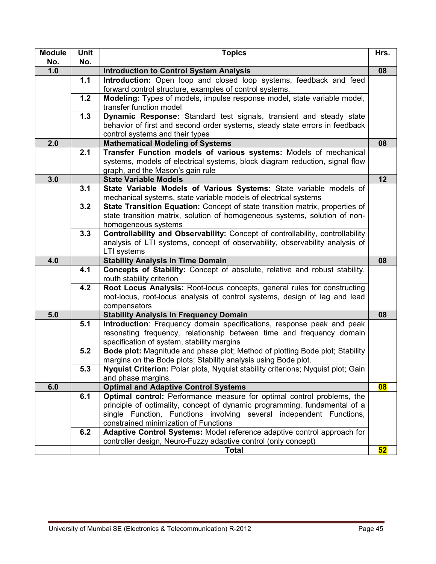| <b>Module</b><br>No. | Unit<br>No. | <b>Topics</b>                                                                                                                                       | Hrs. |
|----------------------|-------------|-----------------------------------------------------------------------------------------------------------------------------------------------------|------|
| 1.0                  |             | <b>Introduction to Control System Analysis</b>                                                                                                      | 08   |
|                      | $1.1$       | Introduction: Open loop and closed loop systems, feedback and feed                                                                                  |      |
|                      |             | forward control structure, examples of control systems.                                                                                             |      |
|                      | 1.2         | Modeling: Types of models, impulse response model, state variable model,                                                                            |      |
|                      |             | transfer function model                                                                                                                             |      |
|                      | $1.3$       | Dynamic Response: Standard test signals, transient and steady state                                                                                 |      |
|                      |             | behavior of first and second order systems, steady state errors in feedback                                                                         |      |
|                      |             | control systems and their types                                                                                                                     |      |
| 2.0                  |             | <b>Mathematical Modeling of Systems</b>                                                                                                             | 08   |
|                      | 2.1         | Transfer Function models of various systems: Models of mechanical                                                                                   |      |
|                      |             | systems, models of electrical systems, block diagram reduction, signal flow                                                                         |      |
|                      |             | graph, and the Mason's gain rule                                                                                                                    |      |
| 3.0                  | 3.1         | <b>State Variable Models</b>                                                                                                                        | 12   |
|                      |             | State Variable Models of Various Systems: State variable models of<br>mechanical systems, state variable models of electrical systems               |      |
|                      | 3.2         | State Transition Equation: Concept of state transition matrix, properties of                                                                        |      |
|                      |             | state transition matrix, solution of homogeneous systems, solution of non-                                                                          |      |
|                      |             | homogeneous systems                                                                                                                                 |      |
|                      | 3.3         | Controllability and Observability: Concept of controllability, controllability                                                                      |      |
|                      |             | analysis of LTI systems, concept of observability, observability analysis of                                                                        |      |
|                      |             | LTI systems                                                                                                                                         |      |
| 4.0                  |             | <b>Stability Analysis In Time Domain</b>                                                                                                            | 08   |
|                      | 4.1         | Concepts of Stability: Concept of absolute, relative and robust stability,<br>routh stability criterion                                             |      |
|                      | 4.2         | Root Locus Analysis: Root-locus concepts, general rules for constructing                                                                            |      |
|                      |             | root-locus, root-locus analysis of control systems, design of lag and lead                                                                          |      |
|                      |             | compensators                                                                                                                                        |      |
| 5.0                  |             | <b>Stability Analysis In Frequency Domain</b>                                                                                                       | 08   |
|                      | 5.1         | Introduction: Frequency domain specifications, response peak and peak                                                                               |      |
|                      |             | resonating frequency, relationship between time and frequency domain                                                                                |      |
|                      |             | specification of system, stability margins                                                                                                          |      |
|                      | 5.2         | Bode plot: Magnitude and phase plot; Method of plotting Bode plot; Stability                                                                        |      |
|                      |             | margins on the Bode plots; Stability analysis using Bode plot.                                                                                      |      |
|                      | 5.3         | <b>Nyquist Criterion:</b> Polar plots, Nyquist stability criterions; Nyquist plot; Gain                                                             |      |
|                      |             | and phase margins.                                                                                                                                  |      |
| 6.0                  | 6.1         | <b>Optimal and Adaptive Control Systems</b>                                                                                                         | 08   |
|                      |             | Optimal control: Performance measure for optimal control problems, the<br>principle of optimality, concept of dynamic programming, fundamental of a |      |
|                      |             | single Function, Functions involving several independent Functions,                                                                                 |      |
|                      |             | constrained minimization of Functions                                                                                                               |      |
|                      | 6.2         | Adaptive Control Systems: Model reference adaptive control approach for                                                                             |      |
|                      |             | controller design, Neuro-Fuzzy adaptive control (only concept)                                                                                      |      |
|                      |             | <b>Total</b>                                                                                                                                        | 52   |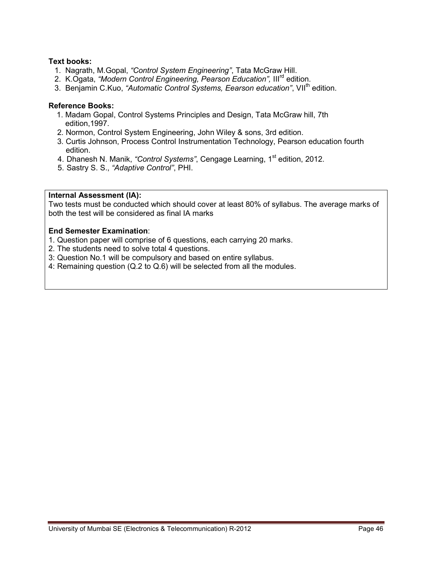# **Text books:**

- 1. Nagrath, M.Gopal, *"Control System Engineering"*, Tata McGraw Hill.
- 2. K.Ogata, *"Modern Control Engineering, Pearson Education",* IIIrd edition.
- 3. Benjamin C.Kuo, "Automatic Control Systems, Eearson education", VII<sup>th</sup> edition.

#### **Reference Books:**

- 1. Madam Gopal, Control Systems Principles and Design, Tata McGraw hill, 7th edition,1997.
- 2. Normon, Control System Engineering, John Wiley & sons, 3rd edition.
- 3. Curtis Johnson, Process Control Instrumentation Technology, Pearson education fourth edition.
- 4. Dhanesh N. Manik, *"Control Systems"*, Cengage Learning, 1st edition, 2012.
- 5. Sastry S. S., *"Adaptive Control"*, PHI.

#### **Internal Assessment (IA):**

Two tests must be conducted which should cover at least 80% of syllabus. The average marks of both the test will be considered as final IA marks

- 1. Question paper will comprise of 6 questions, each carrying 20 marks.
- 2. The students need to solve total 4 questions.
- 3: Question No.1 will be compulsory and based on entire syllabus.
- 4: Remaining question (Q.2 to Q.6) will be selected from all the modules.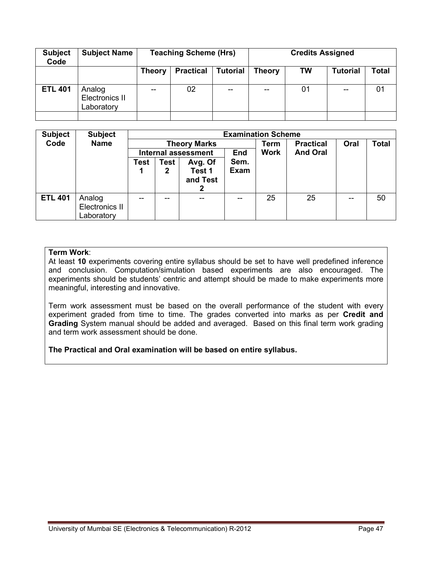| <b>Subject</b><br>Code | <b>Subject Name</b>                           |               | <b>Teaching Scheme (Hrs)</b> |                 | <b>Credits Assigned</b> |           |                 |       |  |
|------------------------|-----------------------------------------------|---------------|------------------------------|-----------------|-------------------------|-----------|-----------------|-------|--|
|                        |                                               | <b>Theory</b> | <b>Practical</b>             | <b>Tutorial</b> | <b>Theory</b>           | <b>TW</b> | <b>Tutorial</b> | Total |  |
| <b>ETL 401</b>         | Analog<br><b>Electronics II</b><br>Laboratory | --            | 02                           | --              | --                      | 01        | --              | 01    |  |
|                        |                                               |               |                              |                 |                         |           |                 |       |  |

| <b>Subject</b> | <b>Subject</b>                         | <b>Examination Scheme</b>                |                  |                                    |                     |                  |                 |              |    |  |  |
|----------------|----------------------------------------|------------------------------------------|------------------|------------------------------------|---------------------|------------------|-----------------|--------------|----|--|--|
| Code           | <b>Name</b>                            | <b>Theory Marks</b>                      |                  |                                    | Term                | <b>Practical</b> | Oral            | <b>Total</b> |    |  |  |
|                |                                        | <b>End</b><br><b>Internal assessment</b> |                  |                                    |                     | <b>Work</b>      | <b>And Oral</b> |              |    |  |  |
|                |                                        | Test                                     | <b>Test</b><br>2 | Avg. Of<br>Test 1<br>and Test<br>2 | Sem.<br><b>Exam</b> |                  |                 |              |    |  |  |
| <b>ETL 401</b> | Analog<br>Electronics II<br>Laboratory |                                          | --               |                                    | --                  | 25               | 25              | $-$          | 50 |  |  |

At least **10** experiments covering entire syllabus should be set to have well predefined inference and conclusion. Computation/simulation based experiments are also encouraged. The experiments should be students' centric and attempt should be made to make experiments more meaningful, interesting and innovative.

Term work assessment must be based on the overall performance of the student with every experiment graded from time to time. The grades converted into marks as per **Credit and Grading** System manual should be added and averaged. Based on this final term work grading and term work assessment should be done.

**The Practical and Oral examination will be based on entire syllabus.**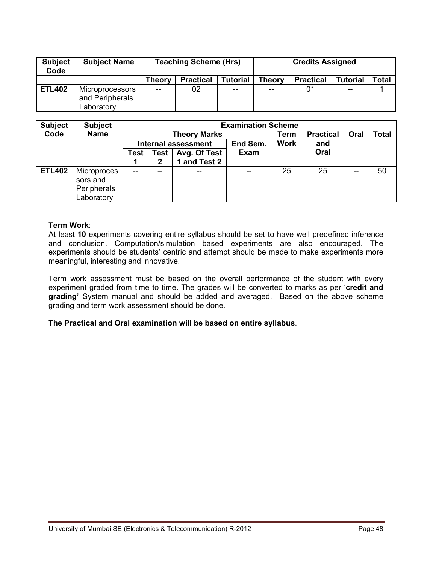| <b>Subject</b><br>Code | <b>Subject Name</b>                                     |               | <b>Teaching Scheme (Hrs)</b> |                 | <b>Credits Assigned</b> |                  |                 |       |  |
|------------------------|---------------------------------------------------------|---------------|------------------------------|-----------------|-------------------------|------------------|-----------------|-------|--|
|                        |                                                         | <b>Theory</b> | <b>Practical</b>             | <b>Tutorial</b> | Theory                  | <b>Practical</b> | <b>Tutorial</b> | Total |  |
| <b>ETL402</b>          | <b>Microprocessors</b><br>and Peripherals<br>Laboratory | $-$           | 02                           | $- -$           | $-$                     |                  | --              |       |  |

| <b>Subject</b> | <b>Subject</b>                                       | <b>Examination Scheme</b>  |              |              |             |             |                  |      |              |  |  |
|----------------|------------------------------------------------------|----------------------------|--------------|--------------|-------------|-------------|------------------|------|--------------|--|--|
| Code           | <b>Name</b>                                          | <b>Theory Marks</b>        |              |              |             | Term        | <b>Practical</b> | Oral | <b>Total</b> |  |  |
|                |                                                      | <b>Internal assessment</b> |              |              | End Sem.    | <b>Work</b> | and              |      |              |  |  |
|                |                                                      | <b>Test</b>                | Test         | Avg. Of Test | <b>Exam</b> |             | Oral             |      |              |  |  |
|                |                                                      |                            | $\mathbf{2}$ | 1 and Test 2 |             |             |                  |      |              |  |  |
| <b>ETL402</b>  | Microproces<br>sors and<br>Peripherals<br>Laboratory | $-$                        |              |              | --          | 25          | 25               | --   | 50           |  |  |

At least **10** experiments covering entire syllabus should be set to have well predefined inference and conclusion. Computation/simulation based experiments are also encouraged. The experiments should be students' centric and attempt should be made to make experiments more meaningful, interesting and innovative.

Term work assessment must be based on the overall performance of the student with every experiment graded from time to time. The grades will be converted to marks as per '**credit and grading'** System manual and should be added and averaged. Based on the above scheme grading and term work assessment should be done.

**The Practical and Oral examination will be based on entire syllabus**.